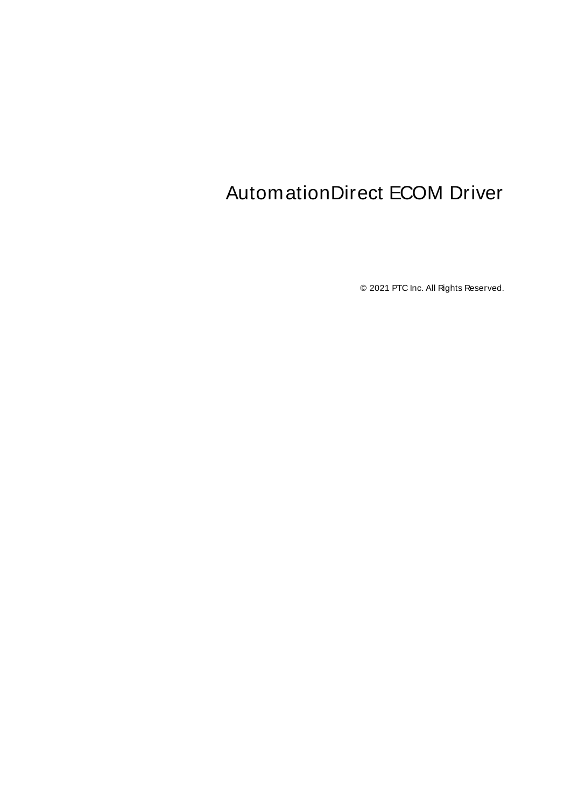# <span id="page-0-0"></span>AutomationDirect ECOM Driver

© 2021 PTC Inc. All Rights Reserved.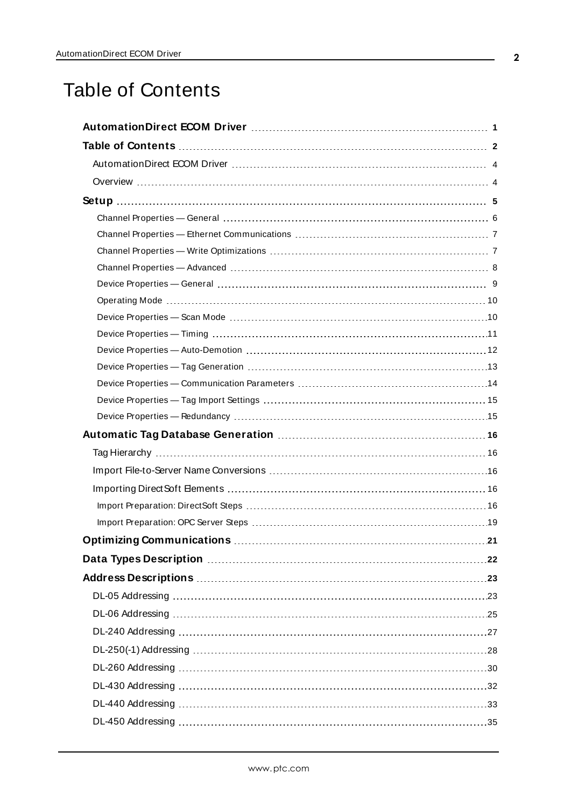# <span id="page-1-0"></span>Table of Contents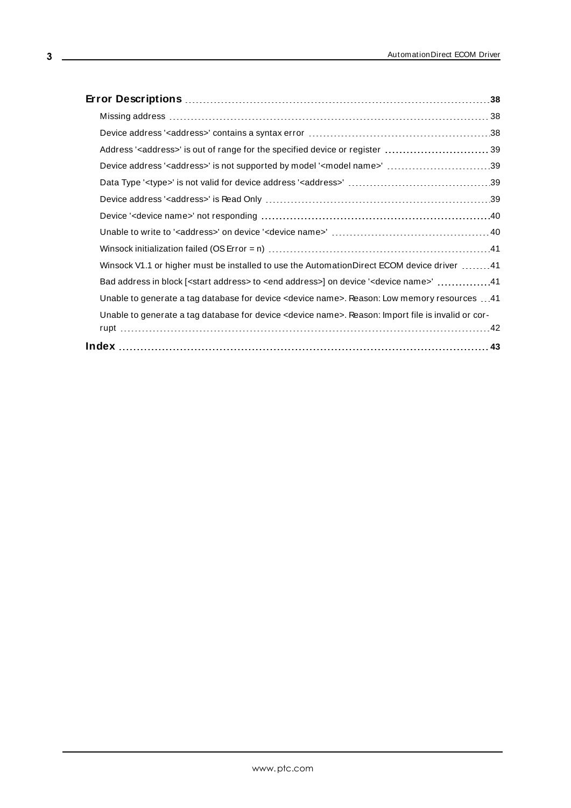| Address' <address>' is out of range for the specified device or register 39</address>                                 |  |
|-----------------------------------------------------------------------------------------------------------------------|--|
| Device address ' <address>' is not supported by model '<model name="">' 39</model></address>                          |  |
|                                                                                                                       |  |
|                                                                                                                       |  |
|                                                                                                                       |  |
|                                                                                                                       |  |
|                                                                                                                       |  |
| Winsock V1.1 or higher must be installed to use the AutomationDirect ECOM device driver 41                            |  |
| Bad address in block [ <start address=""> to <end address="">] on device '<device name="">' 41</device></end></start> |  |
| Unable to generate a tag database for device <device name="">. Reason: Low memory resources 41</device>               |  |
| Unable to generate a tag database for device <device name="">. Reason: Import file is invalid or cor-</device>        |  |
|                                                                                                                       |  |
|                                                                                                                       |  |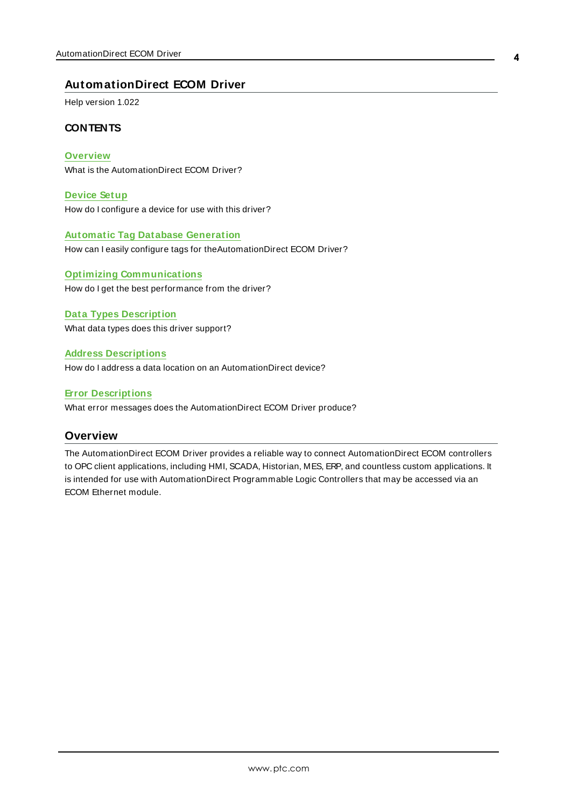## <span id="page-3-0"></span>**AutomationDirect ECOM Driver**

Help version 1.022

#### **CONTENTS**

**[Overview](#page-3-1)** What is the AutomationDirect ECOM Driver?

**[Device](#page-4-0) Setup** How do I configure a device for use with this driver?

**Automatic Tag Database [Generation](#page-15-0)** How can I easily configure tags for theAutomationDirect ECOM Driver?

**Optimizing [Communications](#page-20-0)** How do I get the best performance from the driver?

**Data Types [Description](#page-21-0)** What data types does this driver support?

**Address [Descriptions](#page-22-0)** How do I address a data location on an AutomationDirect device?

**Error [Descriptions](#page-37-0)**

<span id="page-3-1"></span>What error messages does the AutomationDirect ECOM Driver produce?

#### **Overview**

The AutomationDirect ECOM Driver provides a reliable way to connect AutomationDirect ECOM controllers to OPC client applications, including HMI, SCADA, Historian, MES, ERP, and countless custom applications. It is intended for use with AutomationDirect Programmable Logic Controllers that may be accessed via an ECOM Ethernet module.

**4**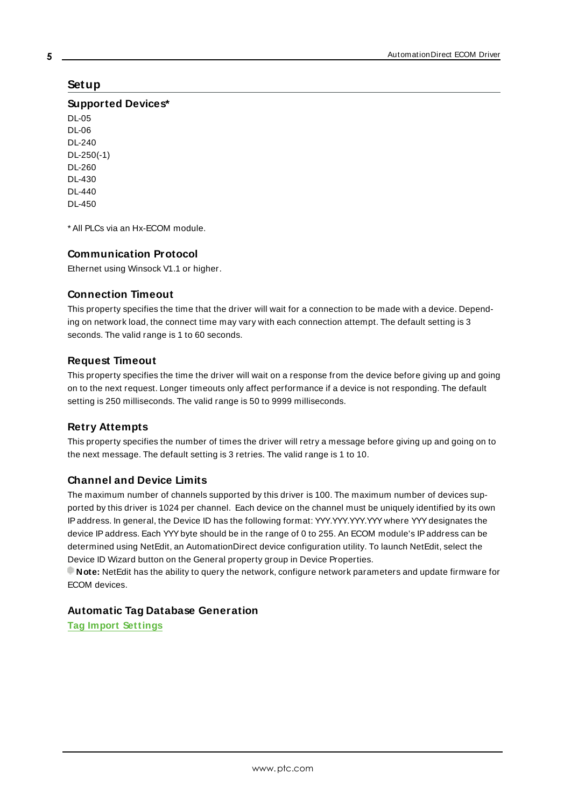## <span id="page-4-0"></span>**Setup**

**Supported Devices\***

DL-05 DL-06 DL-240 DL-250(-1) DL-260 DL-430 DL-440 DL-450

<span id="page-4-2"></span>\* All PLCs via an Hx-ECOM module.

#### **Communication Protocol**

Ethernet using Winsock V1.1 or higher.

#### <span id="page-4-4"></span>**Connection Timeout**

This property specifies the time that the driver will wait for a connection to be made with a device. Depending on network load, the connect time may vary with each connection attempt. The default setting is 3 seconds. The valid range is 1 to 60 seconds.

#### **Request Timeout**

This property specifies the time the driver will wait on a response from the device before giving up and going on to the next request. Longer timeouts only affect performance if a device is not responding. The default setting is 250 milliseconds. The valid range is 50 to 9999 milliseconds.

#### **Retry Attempts**

This property specifies the number of times the driver will retry a message before giving up and going on to the next message. The default setting is 3 retries. The valid range is 1 to 10.

#### <span id="page-4-3"></span><span id="page-4-1"></span>**Channel and Device Limits**

The maximum number of channels supported by this driver is 100. The maximum number of devices supported by this driver is 1024 per channel. Each device on the channel must be uniquely identified by its own IP address. In general, the Device ID has the following format: YYY.YYY.YYY.YYY where YYY designates the device IPaddress. Each YYYbyte should be in the range of 0 to 255. An ECOM module's IPaddress can be determined using NetEdit, an AutomationDirect device configuration utility. To launch NetEdit, select the Device ID Wizard button on the General property group in Device Properties.

**Note:** NetEdit has the ability to query the network, configure network parameters and update firmware for ECOM devices.

#### **Automatic Tag Database Generation**

**Tag Import [Settings](#page-14-0)**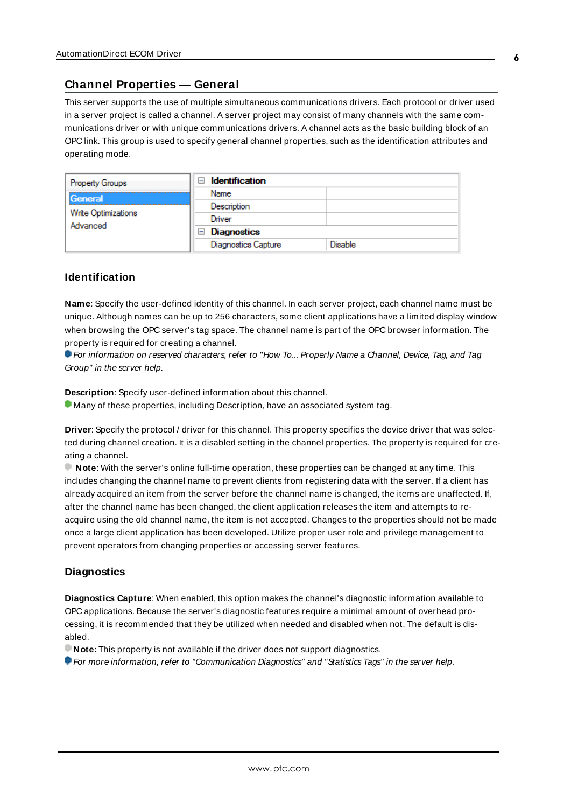#### <span id="page-5-0"></span>**Channel Properties — General**

This server supports the use of multiple simultaneous communications drivers. Each protocol or driver used in a server project is called a channel. A server project may consist of many channels with the same communications driver or with unique communications drivers. A channel acts as the basic building block of an OPC link. This group is used to specify general channel properties, such as the identification attributes and operating mode.

| <b>Property Groups</b> | <b>Identification</b><br>$\overline{ }$ |                |
|------------------------|-----------------------------------------|----------------|
| General                | Name                                    |                |
| Write Optimizations    | Description                             |                |
|                        | Driver                                  |                |
| Advanced               | $\Box$ Diagnostics                      |                |
|                        | <b>Diagnostics Capture</b>              | <b>Disable</b> |

#### **Identification**

**Name**: Specify the user-defined identity of this channel. In each server project, each channel name must be unique. Although names can be up to 256 characters, some client applications have a limited display window when browsing the OPC server's tag space. The channel name is part of the OPC browser information. The property is required for creating a channel.

For information on reserved characters, refer to "How To... Properly Name a Channel, Device, Tag, and Tag Group" in the server help.

**Description**: Specify user-defined information about this channel.

Many of these properties, including Description, have an associated system tag.

**Driver**: Specify the protocol / driver for this channel. This property specifies the device driver that was selected during channel creation. It is a disabled setting in the channel properties. The property is required for creating a channel.

**Note**: With the server's online full-time operation, these properties can be changed at any time. This includes changing the channel name to prevent clients from registering data with the server. If a client has already acquired an item from the server before the channel name is changed, the items are unaffected. If, after the channel name has been changed, the client application releases the item and attempts to reacquire using the old channel name, the item is not accepted. Changes to the properties should not be made once a large client application has been developed. Utilize proper user role and privilege management to prevent operators from changing properties or accessing server features.

#### **Diagnostics**

**Diagnostics Capture**: When enabled, this option makes the channel's diagnostic information available to OPC applications. Because the server's diagnostic features require a minimal amount of overhead processing, it is recommended that they be utilized when needed and disabled when not. The default is disabled.

**Note:** This property is not available if the driver does not support diagnostics.

For more information, refer to "Communication Diagnostics" and "Statistics Tags" in the server help.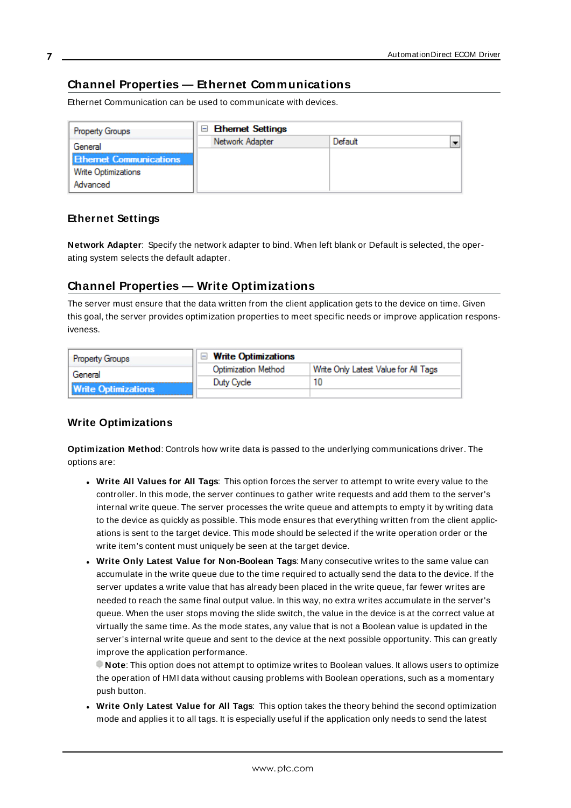## <span id="page-6-0"></span>**Channel Properties — Ethernet Communications**

Ethernet Communication can be used to communicate with devices.

| <b>Property Groups</b>         | <b>Ethemet Settings</b> |         |                          |
|--------------------------------|-------------------------|---------|--------------------------|
| General                        | Network Adapter         | Default | $\overline{\phantom{0}}$ |
| <b>Ethernet Communications</b> |                         |         |                          |
| <b>Write Optimizations</b>     |                         |         |                          |
| Advanced                       |                         |         |                          |

#### **Ethernet Settings**

**Network Adapter**: Specify the network adapter to bind. When left blank or Default is selected, the operating system selects the default adapter.

## <span id="page-6-1"></span>**Channel Properties — Write Optimizations**

The server must ensure that the data written from the client application gets to the device on time. Given this goal, the server provides optimization properties to meet specific needs or improve application responsiveness.

| <b>Property Groups</b>     | $\Box$ Write Optimizations |                                      |
|----------------------------|----------------------------|--------------------------------------|
| General                    | <b>Optimization Method</b> | Write Only Latest Value for All Tags |
|                            | Duty Cycle                 | 10                                   |
| <b>Write Optimizations</b> |                            |                                      |

#### **Write Optimizations**

**Optimization Method**: Controls how write data is passed to the underlying communications driver. The options are:

- <sup>l</sup> **Write All Values for All Tags**: This option forces the server to attempt to write every value to the controller. In this mode, the server continues to gather write requests and add them to the server's internal write queue. The server processes the write queue and attempts to empty it by writing data to the device as quickly as possible. This mode ensures that everything written from the client applications is sent to the target device. This mode should be selected if the write operation order or the write item's content must uniquely be seen at the target device.
- <sup>l</sup> **Write Only Latest Value for Non-Boolean Tags**: Many consecutive writes to the same value can accumulate in the write queue due to the time required to actually send the data to the device. If the server updates a write value that has already been placed in the write queue, far fewer writes are needed to reach the same final output value. In this way, no extra writes accumulate in the server's queue. When the user stops moving the slide switch, the value in the device is at the correct value at virtually the same time. As the mode states, any value that is not a Boolean value is updated in the server's internal write queue and sent to the device at the next possible opportunity. This can greatly improve the application performance.

**Note**: This option does not attempt to optimize writes to Boolean values. It allows users to optimize the operation of HMI data without causing problems with Boolean operations, such as a momentary push button.

<sup>l</sup> **Write Only Latest Value for All Tags**: This option takes the theory behind the second optimization mode and applies it to all tags. It is especially useful if the application only needs to send the latest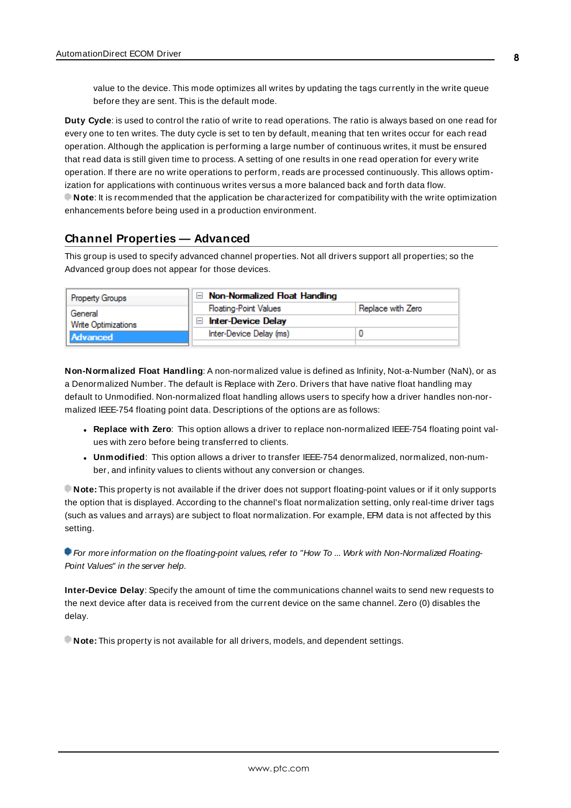value to the device. This mode optimizes all writes by updating the tags currently in the write queue before they are sent. This is the default mode.

**Duty Cycle**: is used to control the ratio of write to read operations. The ratio is always based on one read for every one to ten writes. The duty cycle is set to ten by default, meaning that ten writes occur for each read operation. Although the application is performing a large number of continuous writes, it must be ensured that read data is still given time to process. A setting of one results in one read operation for every write operation. If there are no write operations to perform, reads are processed continuously. This allows optimization for applications with continuous writes versus a more balanced back and forth data flow. **Note**: It is recommended that the application be characterized for compatibility with the write optimization enhancements before being used in a production environment.

#### <span id="page-7-0"></span>**Channel Properties — Advanced**

This group is used to specify advanced channel properties. Not all drivers support all properties; so the Advanced group does not appear for those devices.

| <b>Property Groups</b> | $\Box$ Non-Normalized Float Handling            |                   |
|------------------------|-------------------------------------------------|-------------------|
| General                | <b>Floating-Point Values</b>                    | Replace with Zero |
| Write Optimizations    | <b>Inter-Device Delay</b><br>$\mathord{\vdash}$ |                   |
| <b>Advanced</b>        | Inter-Device Delay (ms)                         |                   |
|                        |                                                 |                   |

**Non-Normalized Float Handling**: A non-normalized value is defined as Infinity, Not-a-Number (NaN), or as a Denormalized Number. The default is Replace with Zero. Drivers that have native float handling may default to Unmodified. Non-normalized float handling allows users to specify how a driver handles non-normalized IEEE-754 floating point data. Descriptions of the options are as follows:

- <sup>l</sup> **Replace with Zero**: This option allows a driver to replace non-normalized IEEE-754 floating point values with zero before being transferred to clients.
- <sup>l</sup> **Unmodified**: This option allows a driver to transfer IEEE-754 denormalized, normalized, non-number, and infinity values to clients without any conversion or changes.

**Note:** This property is not available if the driver does not support floating-point values or if it only supports the option that is displayed. According to the channel's float normalization setting, only real-time driver tags (such as values and arrays) are subject to float normalization. For example, EFM data is not affected by this setting.

For more information on the floating-point values, refer to "How To ... Work with Non-Normalized Floating-Point Values" in the server help.

**Inter-Device Delay**: Specify the amount of time the communications channel waits to send new requests to the next device after data is received from the current device on the same channel. Zero (0) disables the delay.

**Note:** This property is not available for all drivers, models, and dependent settings.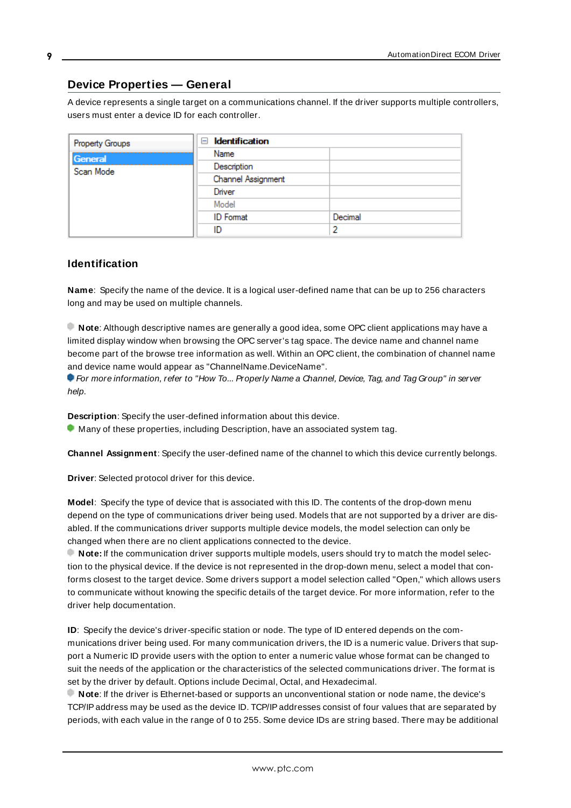## <span id="page-8-0"></span>**Device Properties — General**

A device represents a single target on a communications channel. If the driver supports multiple controllers, users must enter a device ID for each controller.

| Property Groups      | <b>Identification</b><br>$\equiv$ |         |
|----------------------|-----------------------------------|---------|
| General<br>Scan Mode | Name                              |         |
|                      | Description                       |         |
|                      | Channel Assignment                |         |
|                      | Driver                            |         |
|                      | Model                             |         |
|                      | <b>ID</b> Format                  | Decimal |
|                      | ID                                | っ       |

#### <span id="page-8-5"></span>**Identification**

**Name**: Specify the name of the device. It is a logical user-defined name that can be up to 256 characters long and may be used on multiple channels.

**Note**: Although descriptive names are generally a good idea, some OPC client applications may have a limited display window when browsing the OPC server's tag space. The device name and channel name become part of the browse tree information as well. Within an OPC client, the combination of channel name and device name would appear as "ChannelName.DeviceName".

For more information, refer to "How To... Properly Name a Channel, Device, Tag, and Tag Group" in server help.

**Description**: Specify the user-defined information about this device.

<span id="page-8-1"></span>**Many of these properties, including Description, have an associated system tag.** 

<span id="page-8-2"></span>**Channel Assignment**: Specify the user-defined name of the channel to which this device currently belongs.

<span id="page-8-4"></span>**Driver**: Selected protocol driver for this device.

**Model**: Specify the type of device that is associated with this ID. The contents of the drop-down menu depend on the type of communications driver being used. Models that are not supported by a driver are disabled. If the communications driver supports multiple device models, the model selection can only be changed when there are no client applications connected to the device.

**Note:** If the communication driver supports multiple models, users should try to match the model selection to the physical device. If the device is not represented in the drop-down menu, select a model that conforms closest to the target device. Some drivers support a model selection called "Open," which allows users to communicate without knowing the specific details of the target device. For more information, refer to the driver help documentation.

<span id="page-8-3"></span>**ID**: Specify the device's driver-specific station or node. The type of ID entered depends on the communications driver being used. For many communication drivers, the ID is a numeric value. Drivers that support a Numeric ID provide users with the option to enter a numeric value whose format can be changed to suit the needs of the application or the characteristics of the selected communications driver. The format is set by the driver by default. Options include Decimal, Octal, and Hexadecimal.

**Note**: If the driver is Ethernet-based or supports an unconventional station or node name, the device's TCP/IPaddress may be used as the device ID. TCP/IPaddresses consist of four values that are separated by periods, with each value in the range of 0 to 255. Some device IDs are string based. There may be additional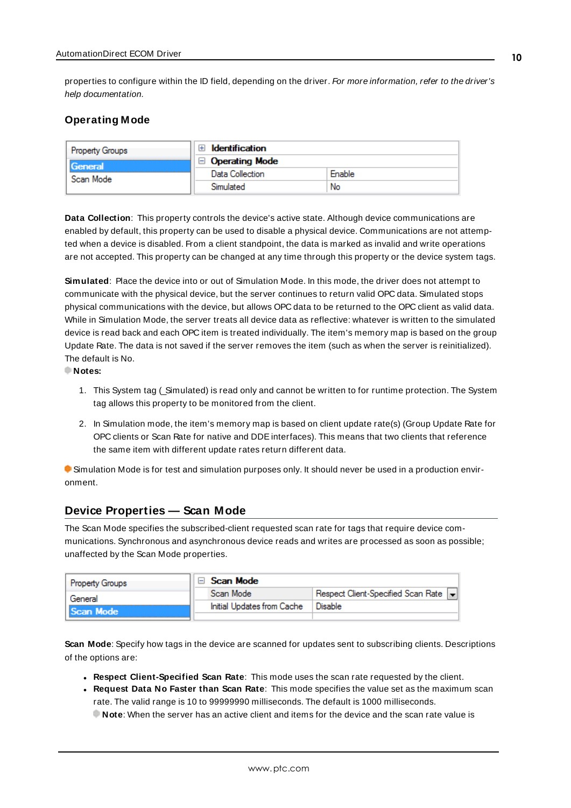properties to configure within the ID field, depending on the driver. For more information, refer to the driver's help documentation.

#### <span id="page-9-0"></span>**Operating Mode**

| <b>Property Groups</b> | <b>Identification</b> |        |
|------------------------|-----------------------|--------|
| General                | <b>Operating Mode</b> |        |
| Scan Mode              | Data Collection       | Enable |
|                        | Simulated             | No     |

<span id="page-9-2"></span>**Data Collection**: This property controls the device's active state. Although device communications are enabled by default, this property can be used to disable a physical device. Communications are not attempted when a device is disabled. From a client standpoint, the data is marked as invalid and write operations are not accepted. This property can be changed at any time through this property or the device system tags.

<span id="page-9-4"></span>**Simulated**: Place the device into or out of Simulation Mode. In this mode, the driver does not attempt to communicate with the physical device, but the server continues to return valid OPC data. Simulated stops physical communications with the device, but allows OPC data to be returned to the OPC client as valid data. While in Simulation Mode, the server treats all device data as reflective: whatever is written to the simulated device is read back and each OPC item is treated individually. The item's memory map is based on the group Update Rate. The data is not saved if the server removes the item (such as when the server is reinitialized). The default is No.

**Notes:**

- 1. This System tag (Simulated) is read only and cannot be written to for runtime protection. The System tag allows this property to be monitored from the client.
- 2. In Simulation mode, the item's memory map is based on client update rate(s) (Group Update Rate for OPC clients or Scan Rate for native and DDEinterfaces). This means that two clients that reference the same item with different update rates return different data.

 Simulation Mode is for test and simulation purposes only. It should never be used in a production environment.

#### <span id="page-9-1"></span>**Device Properties — Scan Mode**

The Scan Mode specifies the subscribed-client requested scan rate for tags that require device communications. Synchronous and asynchronous device reads and writes are processed as soon as possible; unaffected by the Scan Mode properties.

| Property Groups | $\Box$ Scan Mode           |                                    |
|-----------------|----------------------------|------------------------------------|
| General         | Scan Mode                  | Respect Client-Specified Scan Rate |
| Scan Mode       | Initial Updates from Cache | <b>Disable</b>                     |
|                 |                            |                                    |

<span id="page-9-3"></span>**Scan Mode**: Specify how tags in the device are scanned for updates sent to subscribing clients. Descriptions of the options are:

- <sup>l</sup> **Respect Client-Specified Scan Rate**: This mode uses the scan rate requested by the client.
- <sup>l</sup> **Request Data No Faster than Scan Rate**: This mode specifies the value set as the maximum scan rate. The valid range is 10 to 99999990 milliseconds. The default is 1000 milliseconds.

**Note**: When the server has an active client and items for the device and the scan rate value is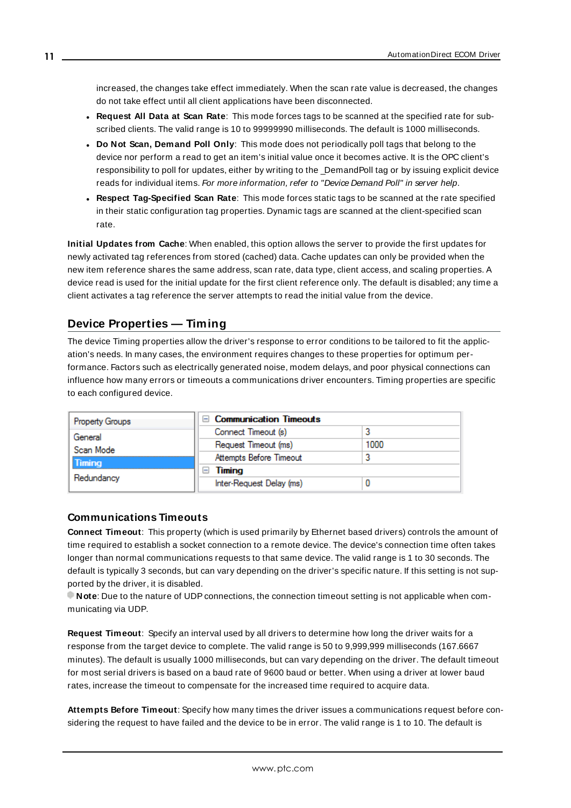increased, the changes take effect immediately. When the scan rate value is decreased, the changes do not take effect until all client applications have been disconnected.

- <span id="page-10-3"></span><sup>l</sup> **Request All Data at Scan Rate**: This mode forces tags to be scanned at the specified rate for subscribed clients. The valid range is 10 to 99999990 milliseconds. The default is 1000 milliseconds.
- <sup>l</sup> **Do Not Scan, Demand Poll Only**: This mode does not periodically poll tags that belong to the device nor perform a read to get an item's initial value once it becomes active. It is the OPC client's responsibility to poll for updates, either by writing to the \_DemandPoll tag or by issuing explicit device reads for individual items. For more information, refer to "Device Demand Poll" in server help.
- <span id="page-10-6"></span><sup>l</sup> **Respect Tag-Specified Scan Rate**: This mode forces static tags to be scanned at the rate specified in their static configuration tag properties. Dynamic tags are scanned at the client-specified scan rate.

<span id="page-10-4"></span>**Initial Updates from Cache**: When enabled, this option allows the server to provide the first updates for newly activated tag references from stored (cached) data. Cache updates can only be provided when the new item reference shares the same address, scan rate, data type, client access, and scaling properties. A device read is used for the initial update for the first client reference only. The default is disabled; any time a client activates a tag reference the server attempts to read the initial value from the device.

## <span id="page-10-1"></span><span id="page-10-0"></span>**Device Properties — Timing**

The device Timing properties allow the driver's response to error conditions to be tailored to fit the application's needs. In many cases, the environment requires changes to these properties for optimum performance. Factors such as electrically generated noise, modem delays, and poor physical connections can influence how many errors or timeouts a communications driver encounters. Timing properties are specific to each configured device.

| <b>Communication Timeouts</b><br>$\overline{ }$ |      |
|-------------------------------------------------|------|
| Connect Timeout (s)                             |      |
| Request Timeout (ms)                            | 1000 |
| Attempts Before Timeout                         |      |
| Timing<br>$\overline{}$                         |      |
| Inter-Request Delay (ms)                        |      |
|                                                 |      |

#### <span id="page-10-2"></span>**Communications Timeouts**

**Connect Timeout**: This property (which is used primarily by Ethernet based drivers) controls the amount of time required to establish a socket connection to a remote device. The device's connection time often takes longer than normal communications requests to that same device. The valid range is 1 to 30 seconds. The default is typically 3 seconds, but can vary depending on the driver's specific nature. If this setting is not supported by the driver, it is disabled.

**Note:** Due to the nature of UDP connections, the connection timeout setting is not applicable when communicating via UDP.

<span id="page-10-5"></span>**Request Timeout**: Specify an interval used by all drivers to determine how long the driver waits for a response from the target device to complete. The valid range is 50 to 9,999,999 milliseconds (167.6667 minutes). The default is usually 1000 milliseconds, but can vary depending on the driver. The default timeout for most serial drivers is based on a baud rate of 9600 baud or better. When using a driver at lower baud rates, increase the timeout to compensate for the increased time required to acquire data.

**Attempts Before Timeout**: Specify how many times the driver issues a communications request before considering the request to have failed and the device to be in error. The valid range is 1 to 10. The default is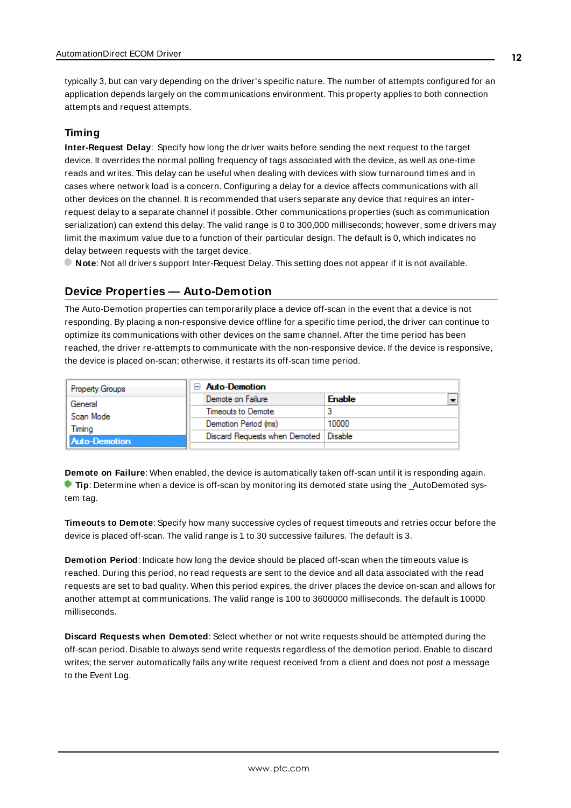<span id="page-11-1"></span>typically 3, but can vary depending on the driver's specific nature. The number of attempts configured for an application depends largely on the communications environment. This property applies to both connection attempts and request attempts.

#### <span id="page-11-5"></span>**Timing**

**Inter-Request Delay**: Specify how long the driver waits before sending the next request to the target device. It overrides the normal polling frequency of tags associated with the device, as well as one-time reads and writes. This delay can be useful when dealing with devices with slow turnaround times and in cases where network load is a concern. Configuring a delay for a device affects communications with all other devices on the channel. It is recommended that users separate any device that requires an interrequest delay to a separate channel if possible. Other communications properties (such as communication serialization) can extend this delay. The valid range is 0 to 300,000 milliseconds; however, some drivers may limit the maximum value due to a function of their particular design. The default is 0, which indicates no delay between requests with the target device.

<span id="page-11-0"></span>**Note**: Not all drivers support Inter-Request Delay. This setting does not appear if it is not available.

#### **Device Properties — Auto-Demotion**

The Auto-Demotion properties can temporarily place a device off-scan in the event that a device is not responding. By placing a non-responsive device offline for a specific time period, the driver can continue to optimize its communications with other devices on the same channel. After the time period has been reached, the driver re-attempts to communicate with the non-responsive device. If the device is responsive, the device is placed on-scan; otherwise, it restarts its off-scan time period.

| <b>Property Groups</b> | <b>Auto-Demotion</b>          |               |
|------------------------|-------------------------------|---------------|
| General                | Demote on Failure             | <b>Enable</b> |
| Scan Mode              | Timeouts to Demote            |               |
| Timina                 | Demotion Period (ms)          | 10000         |
| Auto-Demotion          | Discard Requests when Demoted | Disable       |
|                        |                               |               |

<span id="page-11-2"></span>**Demote on Failure**: When enabled, the device is automatically taken off-scan until it is responding again. **Tip:** Determine when a device is off-scan by monitoring its demoted state using the \_AutoDemoted system tag.

<span id="page-11-6"></span>**Timeouts to Demote**: Specify how many successive cycles of request timeouts and retries occur before the device is placed off-scan. The valid range is 1 to 30 successive failures. The default is 3.

<span id="page-11-3"></span>**Demotion Period**: Indicate how long the device should be placed off-scan when the timeouts value is reached. During this period, no read requests are sent to the device and all data associated with the read requests are set to bad quality. When this period expires, the driver places the device on-scan and allows for another attempt at communications. The valid range is 100 to 3600000 milliseconds. The default is 10000 milliseconds.

<span id="page-11-4"></span>**Discard Requests when Demoted**: Select whether or not write requests should be attempted during the off-scan period. Disable to always send write requests regardless of the demotion period. Enable to discard writes; the server automatically fails any write request received from a client and does not post a message to the Event Log.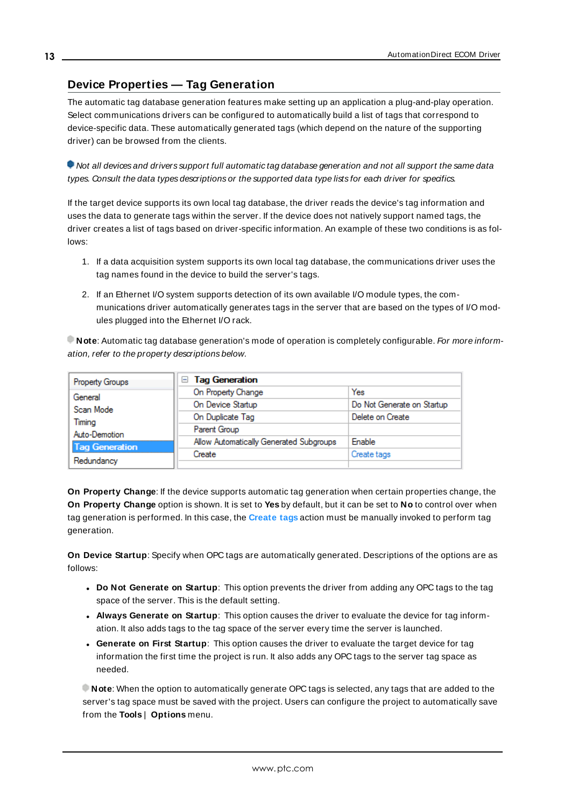## <span id="page-12-0"></span>**Device Properties — Tag Generation**

The automatic tag database generation features make setting up an application a plug-and-play operation. Select communications drivers can be configured to automatically build a list of tags that correspond to device-specific data. These automatically generated tags (which depend on the nature of the supporting driver) can be browsed from the clients.

Not all devices and drivers support full automatic tag database generation and not all support the same data types. Consult the data types descriptions or the supported data type lists for each driver for specifics.

If the target device supports its own local tag database, the driver reads the device's tag information and uses the data to generate tags within the server. If the device does not natively support named tags, the driver creates a list of tags based on driver-specific information. An example of these two conditions is as follows:

- 1. If a data acquisition system supports its own local tag database, the communications driver uses the tag names found in the device to build the server's tags.
- 2. If an Ethernet I/O system supports detection of its own available I/O module types, the communications driver automatically generates tags in the server that are based on the types of I/O modules plugged into the Ethernet I/O rack.

**Note**: Automatic tag database generation's mode of operation is completely configurable. For more information, refer to the property descriptions below.

| Property Groups       | <b>Tag Generation</b><br>н              |                            |
|-----------------------|-----------------------------------------|----------------------------|
| General               | On Property Change                      | Yes                        |
| Scan Mode             | On Device Startup                       | Do Not Generate on Startup |
| Timina                | On Duplicate Tag                        | Delete on Create           |
| Auto-Demotion         | Parent Group                            |                            |
| <b>Tag Generation</b> | Allow Automatically Generated Subgroups | <b>Enable</b>              |
|                       | Create                                  | Create tags                |
| Redundancy            |                                         |                            |

<span id="page-12-3"></span>**On Property Change**: If the device supports automatic tag generation when certain properties change, the **On Property Change** option is shown. It is set to **Yes** by default, but it can be set to **No** to control over when tag generation is performed. In this case, the **Create tags** action must be manually invoked to perform tag generation.

<span id="page-12-2"></span>**On Device Startup**: Specify when OPC tags are automatically generated. Descriptions of the options are as follows:

- <span id="page-12-1"></span><sup>l</sup> **Do Not Generate on Startup**: This option prevents the driver from adding any OPC tags to the tag space of the server. This is the default setting.
- <sup>l</sup> **Always Generate on Startup**: This option causes the driver to evaluate the device for tag information. It also adds tags to the tag space of the server every time the server is launched.
- <sup>l</sup> **Generate on First Startup**: This option causes the driver to evaluate the target device for tag information the first time the project is run. It also adds any OPC tags to the server tag space as needed.

**Note**: When the option to automatically generate OPC tags is selected, any tags that are added to the server's tag space must be saved with the project. Users can configure the project to automatically save from the **Tools** | **Options** menu.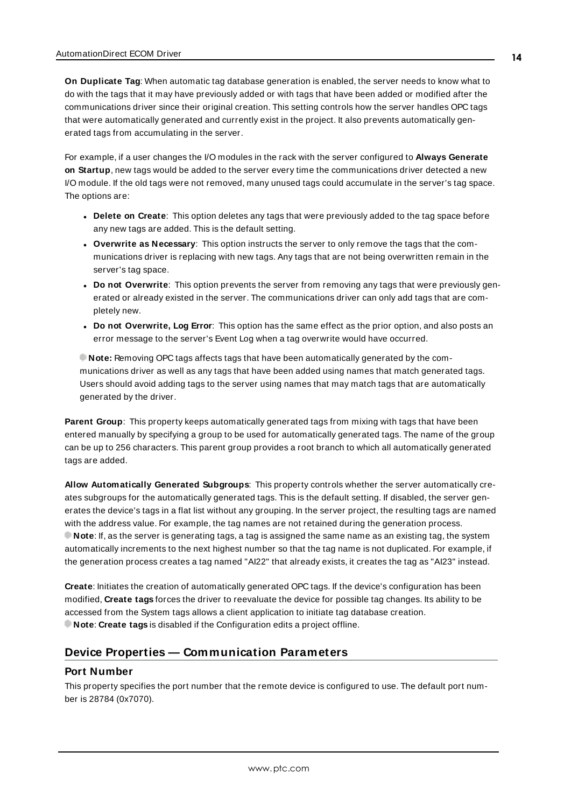<span id="page-13-4"></span>**On Duplicate Tag**: When automatic tag database generation is enabled, the server needs to know what to do with the tags that it may have previously added or with tags that have been added or modified after the communications driver since their original creation. This setting controls how the server handles OPC tags that were automatically generated and currently exist in the project. It also prevents automatically generated tags from accumulating in the server.

For example, if a user changes the I/O modules in the rack with the server configured to **Always Generate on Startup**, new tags would be added to the server every time the communications driver detected a new I/O module. If the old tags were not removed, many unused tags could accumulate in the server's tag space. The options are:

- <span id="page-13-5"></span><span id="page-13-3"></span><sup>l</sup> **Delete on Create**: This option deletes any tags that were previously added to the tag space before any new tags are added. This is the default setting.
- <sup>l</sup> **Overwrite as Necessary**: This option instructs the server to only remove the tags that the communications driver is replacing with new tags. Any tags that are not being overwritten remain in the server's tag space.
- **Do** not Overwrite: This option prevents the server from removing any tags that were previously generated or already existed in the server. The communications driver can only add tags that are completely new.
- <sup>l</sup> **Do not Overwrite, Log Error**: This option has the same effect as the prior option, and also posts an error message to the server's Event Log when a tag overwrite would have occurred.

**Note:** Removing OPC tags affects tags that have been automatically generated by the communications driver as well as any tags that have been added using names that match generated tags. Users should avoid adding tags to the server using names that may match tags that are automatically generated by the driver.

<span id="page-13-6"></span>**Parent Group**: This property keeps automatically generated tags from mixing with tags that have been entered manually by specifying a group to be used for automatically generated tags. The name of the group can be up to 256 characters. This parent group provides a root branch to which all automatically generated tags are added.

<span id="page-13-1"></span>**Allow Automatically Generated Subgroups**: This property controls whether the server automatically creates subgroups for the automatically generated tags. This is the default setting. If disabled, the server generates the device's tags in a flat list without any grouping. In the server project, the resulting tags are named with the address value. For example, the tag names are not retained during the generation process. **Note**: If, as the server is generating tags, a tag is assigned the same name as an existing tag, the system automatically increments to the next highest number so that the tag name is not duplicated. For example, if the generation process creates a tag named "AI22" that already exists, it creates the tag as "AI23" instead.

<span id="page-13-2"></span>**Create**: Initiates the creation of automatically generated OPC tags. If the device's configuration has been modified, **Create tags** forces the driver to reevaluate the device for possible tag changes. Its ability to be accessed from the System tags allows a client application to initiate tag database creation. **Note**: **Create tags** is disabled if the Configuration edits a project offline.

# <span id="page-13-0"></span>**Device Properties — Communication Parameters**

#### **Port Number**

This property specifies the port number that the remote device is configured to use. The default port number is 28784 (0x7070).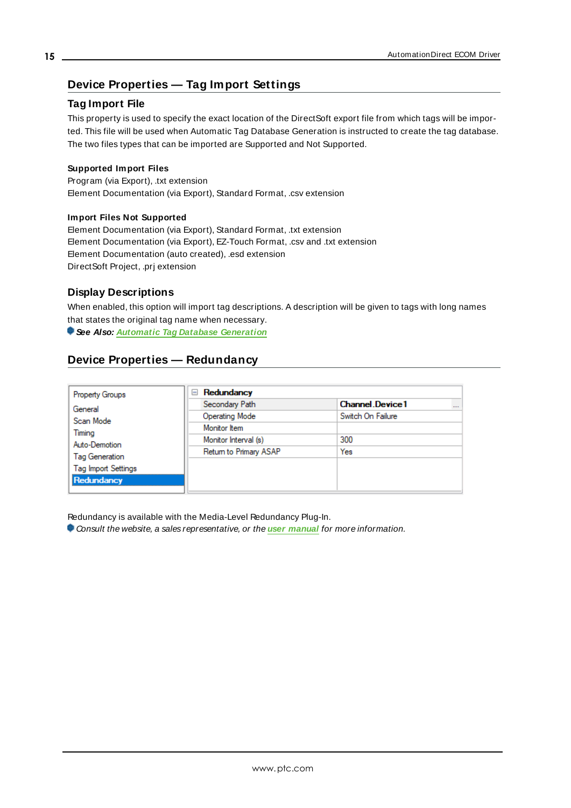## <span id="page-14-0"></span>**Device Properties — Tag Import Settings**

## **Tag Import File**

This property is used to specify the exact location of the DirectSoft export file from which tags will be imported. This file will be used when Automatic Tag Database Generation is instructed to create the tag database. The two files types that can be imported are Supported and Not Supported.

#### **Supported Import Files**

<span id="page-14-2"></span>Program (via Export), .txt extension Element Documentation (via Export), Standard Format, .csv extension

#### **Import Files Not Supported**

Element Documentation (via Export), Standard Format, .txt extension Element Documentation (via Export), EZ-Touch Format, .csv and .txt extension Element Documentation (auto created), .esd extension DirectSoft Project, .prj extension

#### **Display Descriptions**

When enabled, this option will import tag descriptions. A description will be given to tags with long names that states the original tag name when necessary.

<span id="page-14-1"></span>**See Also: Automatic Tag Database [Generation](#page-15-0)**

## **Device Properties — Redundancy**

| <b>Property Groups</b>     | Redundancy<br>$=$      |                                    |  |  |
|----------------------------|------------------------|------------------------------------|--|--|
| General<br>Scan Mode       | Secondary Path         | <b>Channel Device1</b><br>$\cdots$ |  |  |
|                            | <b>Operating Mode</b>  | Switch On Failure                  |  |  |
|                            | Monitor Item           |                                    |  |  |
| Timing<br>Auto-Demotion    | Monitor Interval (s)   | 300                                |  |  |
|                            | Return to Primary ASAP | Yes                                |  |  |
| <b>Tag Generation</b>      |                        |                                    |  |  |
| <b>Tag Import Settings</b> |                        |                                    |  |  |
| Redundancy                 |                        |                                    |  |  |

Redundancy is available with the Media-Level Redundancy Plug-In.

Consult the website, a sales representative, or the **user [manual](https://www.kepware.com/getattachment/35461efd-b53a-4219-a109-a89fad20b230/media-level-redundancy-manual.pdf)** for more information.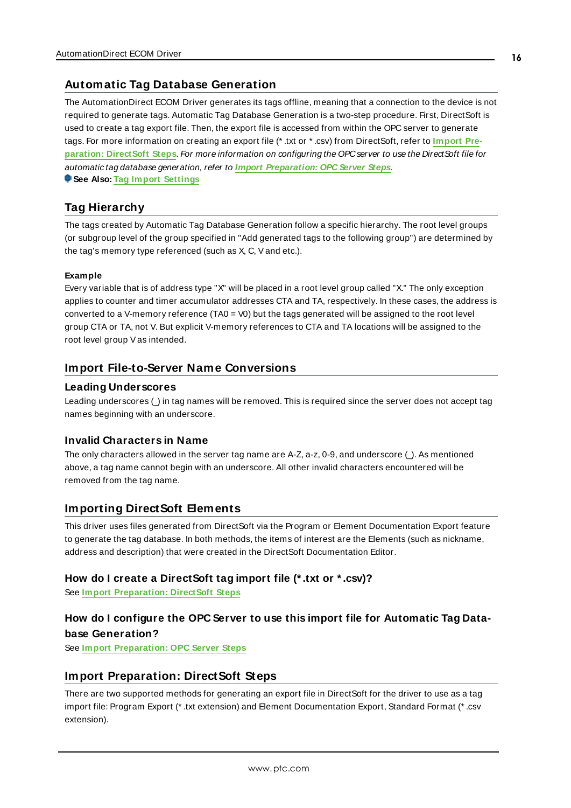#### <span id="page-15-0"></span>**Automatic Tag Database Generation**

The AutomationDirect ECOM Driver generates its tags offline, meaning that a connection to the device is not required to generate tags. Automatic Tag Database Generation is a two-step procedure. First, DirectSoft is used to create a tag export file. Then, the export file is accessed from within the OPC server to generate tags. For more information on creating an export file (\* .txt or \* .csv) from DirectSoft, refer to **[Import](#page-15-4) Preparation: [DirectSoft](#page-15-4) Steps**. For more information on configuring the OPCserver to use the DirectSoft file for automatic tag database generation, refer to **Import [Preparation:](#page-18-0) OPC Server Steps**. **See Also: Tag Import [Settings](#page-14-0)**

<span id="page-15-1"></span>**Tag Hierarchy**

The tags created by Automatic Tag Database Generation follow a specific hierarchy. The root level groups (or subgroup level of the group specified in "Add generated tags to the following group") are determined by the tag's memory type referenced (such as X, C, Vand etc.).

#### **Example**

Every variable that is of address type "X" will be placed in a root level group called "X." The only exception applies to counter and timer accumulator addresses CTA and TA, respectively. In these cases, the address is converted to a V-memory reference (TA0 = V0) but the tags generated will be assigned to the root level group CTA or TA, not V. But explicit V-memory references to CTA and TA locations will be assigned to the root level group V as intended.

#### <span id="page-15-2"></span>**Import File-to-Server Name Conversions**

#### **Leading Underscores**

Leading underscores (\_) in tag names will be removed. This is required since the server does not accept tag names beginning with an underscore.

#### **Invalid Characters in Name**

The only characters allowed in the server tag name are A-Z, a-z, 0-9, and underscore ( $\Delta$ ). As mentioned above, a tag name cannot begin with an underscore. All other invalid characters encountered will be removed from the tag name.

#### <span id="page-15-3"></span>**Importing DirectSoft Elements**

This driver uses files generated from DirectSoft via the Program or Element Documentation Export feature to generate the tag database. In both methods, the items of interest are the Elements (such as nickname, address and description) that were created in the DirectSoft Documentation Editor.

#### **How do I create a DirectSoft tag import file (\* .txt or \* .csv)?**

See **Import [Preparation:](#page-15-4) DirectSoft Steps**

## **How do I configure the OPC Server to use this import file for Automatic Tag Database Generation?**

<span id="page-15-4"></span>See **Import [Preparation:](#page-18-0) OPC Server Steps**

## **Import Preparation: DirectSoft Steps**

There are two supported methods for generating an export file in DirectSoft for the driver to use as a tag import file: Program Export (\* .txt extension) and Element Documentation Export, Standard Format (\* .csv extension).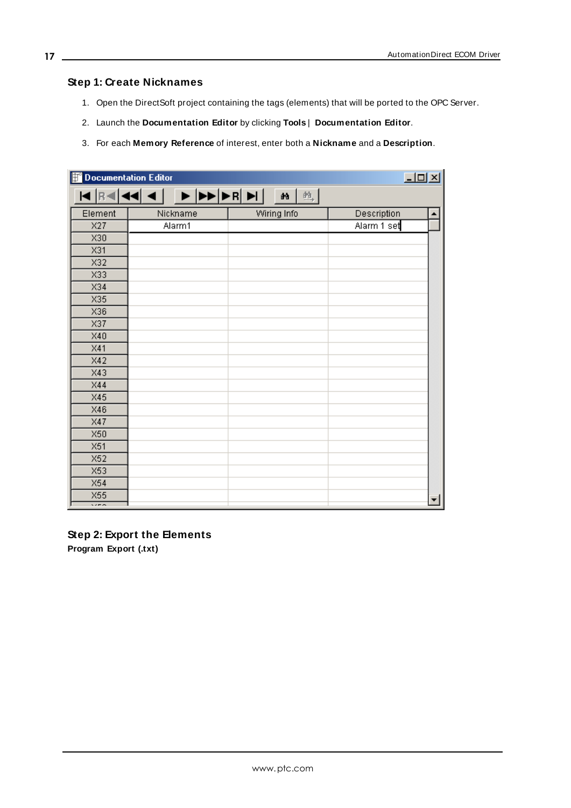## **Step 1: Create Nicknames**

- 1. Open the DirectSoft project containing the tags (elements) that will be ported to the OPC Server.
- 2. Launch the **Documentation Editor** by clicking **Tools** | **Documentation Editor**.
- 3. For each **Memory Reference** of interest, enter both a **Nickname** and a **Description**.

| $L = 1$<br>Documentation Editor |          |                   |             |  |  |
|---------------------------------|----------|-------------------|-------------|--|--|
|                                 |          | 练<br>$\mathbf{a}$ |             |  |  |
| Element                         | Nickname | Wiring Info       | Description |  |  |
| X27                             | Alarm1   |                   | Alarm 1 set |  |  |
| X30                             |          |                   |             |  |  |
| X31                             |          |                   |             |  |  |
| X32                             |          |                   |             |  |  |
| X33                             |          |                   |             |  |  |
| X34                             |          |                   |             |  |  |
| X35                             |          |                   |             |  |  |
| X36                             |          |                   |             |  |  |
| X37                             |          |                   |             |  |  |
| X40                             |          |                   |             |  |  |
| X41                             |          |                   |             |  |  |
| X42                             |          |                   |             |  |  |
| X43                             |          |                   |             |  |  |
| X44                             |          |                   |             |  |  |
| X45                             |          |                   |             |  |  |
| X46                             |          |                   |             |  |  |
| X47                             |          |                   |             |  |  |
| X50                             |          |                   |             |  |  |
| X51                             |          |                   |             |  |  |
| X52                             |          |                   |             |  |  |
| X53                             |          |                   |             |  |  |
| X54                             |          |                   |             |  |  |
| X55                             |          |                   |             |  |  |
| $\overline{\cdots}$             |          |                   |             |  |  |

#### **Step 2: Export the Elements**

**Program Export (.txt)**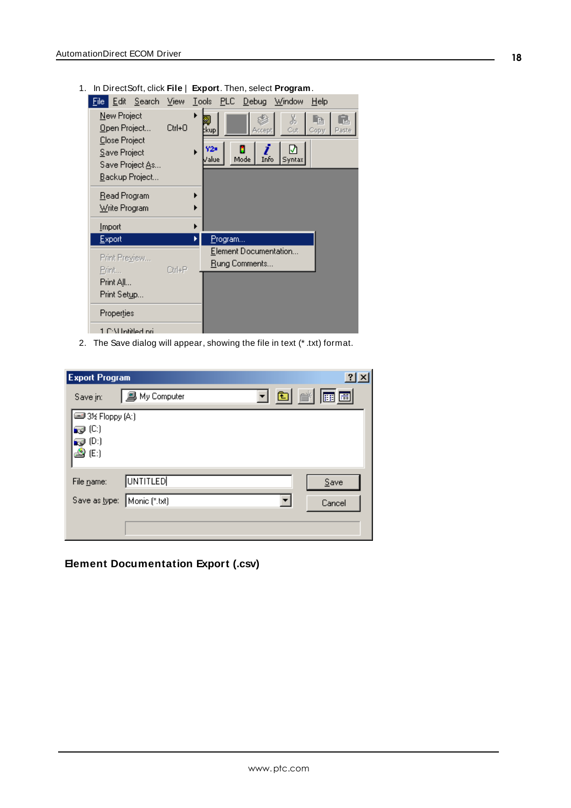1. In DirectSoft, click **File** | **Export**. Then, select **Program**.

| Edit Search<br>Eile:                                                                                      | View         | <b>Tools</b>           |                  | PLC Debug                                      | Window                         | $He$ lp              |
|-----------------------------------------------------------------------------------------------------------|--------------|------------------------|------------------|------------------------------------------------|--------------------------------|----------------------|
| New Project<br>Open Project<br>Close Project<br>Save Project<br>Save Project <u>A</u> s<br>Backup Project | Ctrl+0<br>▶  | ‡kup∣<br>Y2s<br>Zalue. |                  | Accept<br>1<br>Info<br>Mode                    | X<br>Cut<br>⊻<br><b>Syntax</b> | -14<br>Copy<br>Paste |
| Read Program<br>Write Program<br>Import                                                                   | ▶<br>ь       |                        |                  |                                                |                                |                      |
| Export                                                                                                    |              |                        | <u>P</u> rogram… |                                                |                                |                      |
| Print Preview<br>Print                                                                                    | $C$ trl+ $P$ |                        |                  | Element Documentation<br><u>R</u> ung Comments |                                |                      |
| Print All                                                                                                 |              |                        |                  |                                                |                                |                      |
| Print Setup                                                                                               |              |                        |                  |                                                |                                |                      |
| Properties                                                                                                |              |                        |                  |                                                |                                |                      |
| 1 C:\Llotitled.ori                                                                                        |              |                        |                  |                                                |                                |                      |

2. The Save dialog will appear, showing the file in text (\* .txt) format.

| <b>Export Program</b>                 |               | <u> 기지</u> |
|---------------------------------------|---------------|------------|
| Save in:                              | 鳳 My Computer | 7 8 1 8 8  |
| B 3½ Floppy (A:)                      |               |            |
| - (C)                                 |               |            |
| $\mathbf{Q}$ (D:)<br>$\clubsuit$ (E:) |               |            |
|                                       |               |            |
| File name:                            | UNTITLED      | Save       |
| Save as type:                         | Monic (*.txt) | Cancel     |
|                                       |               |            |
|                                       |               |            |

**Element Documentation Export (.csv)**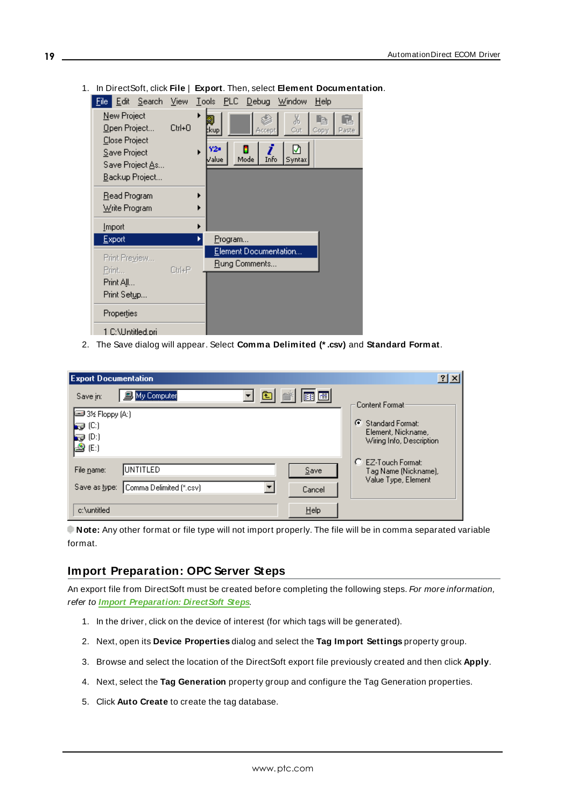|                                                                                                   |        | $\sim$ 2000 $\sim$ 3000 $\sim$ 3000 $\sim$ 1116 $\sim$ 2000 $\sim$ 3000 $\sim$ 2000 $\sim$ 2000 $\sim$ 3000 $\sim$ 3000 $\sim$ 3000 $\sim$ 3000 $\sim$ |
|---------------------------------------------------------------------------------------------------|--------|--------------------------------------------------------------------------------------------------------------------------------------------------------|
|                                                                                                   |        | File Edit Search View Tools PLC Debug Window<br>He                                                                                                     |
| New Project<br>Open Project<br>Close Project<br>Save Project<br>Save Project As<br>Backup Project | Ctrl+O | 56<br>Cut<br>:kup <br>Paste<br>Accept<br>Copy<br>Y2=<br>V<br>▶<br>Mode<br>Info<br>/alue<br>Syntax                                                      |
| Read Program<br>Write Program                                                                     |        | ▶                                                                                                                                                      |
| <b>Import</b>                                                                                     |        | ۱                                                                                                                                                      |
| Export                                                                                            |        | Program<br>▶                                                                                                                                           |
| Print Preview                                                                                     |        | Element Documentation                                                                                                                                  |
| Print                                                                                             | Ctrl+P | Rung Comments                                                                                                                                          |
| Print All                                                                                         |        |                                                                                                                                                        |
| Print Set <u>u</u> p                                                                              |        |                                                                                                                                                        |
| Properties                                                                                        |        |                                                                                                                                                        |
| 1 C:\Untitled.pri                                                                                 |        |                                                                                                                                                        |

1. In DirectSoft, click **File** | **Export**. Then, select **Element Documentation**.

2. The Save dialog will appear. Select **Comma Delimited (\* .csv)** and **Standard Format**.

| <b>Export Documentation</b>                                                                                                             | $ ?  \times$                                                                              |
|-----------------------------------------------------------------------------------------------------------------------------------------|-------------------------------------------------------------------------------------------|
| 白齡<br>围圈<br><b>图</b> My Computer<br>Save in:<br><b>E</b> 3½ Floppy (A:)<br><b>D</b> (C)<br>$\bigtriangledown$ (D:)<br>$\mathbf{B}$ (E:) | Content Format<br>G<br>Standard Format:<br>Element, Nickname,<br>Wiring Info, Description |
| <b>UNTITLED</b><br>File name:<br>Save<br>Comma Delimited (*.csv)<br>Save as type:<br>Cancel                                             | O<br>EZ-Touch Format:<br>Tag Name (Nickname),<br>Value Type, Element                      |
| Help<br>c:\untitled                                                                                                                     |                                                                                           |

**Note:** Any other format or file type will not import properly. The file will be in comma separated variable format.

## <span id="page-18-0"></span>**Import Preparation: OPC Server Steps**

An export file from DirectSoft must be created before completing the following steps. For more information, refer to **Import [Preparation:](#page-15-4) DirectSoft Steps**.

- 1. In the driver, click on the device of interest (for which tags will be generated).
- 2. Next, open its **Device Properties** dialog and select the **Tag Import Settings** property group.
- 3. Browse and select the location of the DirectSoft export file previously created and then click **Apply**.
- 4. Next, select the **Tag Generation** property group and configure the Tag Generation properties.
- 5. Click **Auto Create** to create the tag database.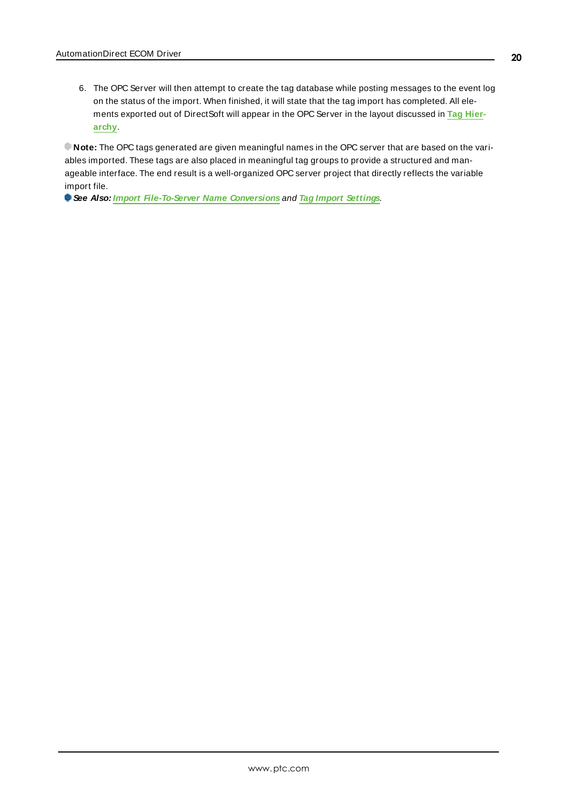6. The OPC Server will then attempt to create the tag database while posting messages to the event log on the status of the import. When finished, it will state that the tag import has completed. All elements exported out of DirectSoft will appear in the OPC Server in the layout discussed in **Tag [Hier](#page-15-1)[archy](#page-15-1)**.

**Note:** The OPC tags generated are given meaningful names in the OPC server that are based on the variables imported. These tags are also placed in meaningful tag groups to provide a structured and manageable interface. The end result is a well-organized OPC server project that directly reflects the variable import file.

**See Also: Import [File-To-Server](#page-15-2) Name Conversions** and **Tag Import [Settings](#page-14-0)**.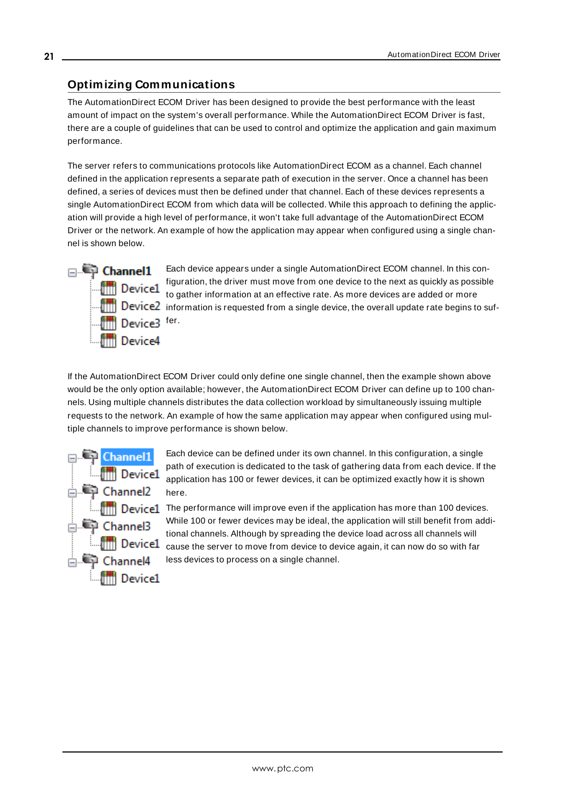## <span id="page-20-0"></span>**Optimizing Communications**

The AutomationDirect ECOM Driver has been designed to provide the best performance with the least amount of impact on the system's overall performance. While the AutomationDirect ECOM Driver is fast, there are a couple of guidelines that can be used to control and optimize the application and gain maximum performance.

The server refers to communications protocols like AutomationDirect ECOM as a channel. Each channel defined in the application represents a separate path of execution in the server. Once a channel has been defined, a series of devices must then be defined under that channel. Each of these devices represents a single AutomationDirect ECOM from which data will be collected. While this approach to defining the application will provide a high level of performance, it won't take full advantage of the AutomationDirect ECOM Driver or the network. An example of how the application may appear when configured using a single channel is shown below.



Each device appears under a single AutomationDirect ECOM channel. In this configuration, the driver must move from one device to the next as quickly as possible **the Device1** riguration, the arrival mass mose rate. As more devices are added or more  $\frac{1}{\|u\|}$  Device2 information is requested from a single device, the overall update rate begins to suf-

If the AutomationDirect ECOM Driver could only define one single channel, then the example shown above would be the only option available; however, the AutomationDirect ECOM Driver can define up to 100 channels. Using multiple channels distributes the data collection workload by simultaneously issuing multiple requests to the network. An example of how the same application may appear when configured using multiple channels to improve performance is shown below.



Each device can be defined under its own channel. In this configuration, a single path of execution is dedicated to the task of gathering data from each device. If the application has 100 or fewer devices, it can be optimized exactly how it is shown here.

The perice1 The performance will improve even if the application has more than 100 devices. While 100 or fewer devices may be ideal, the application will still benefit from additional channels. Although by spreading the device load across all channels will **Cause the server to move from device to device again, it can now do so with far** less devices to process on a single channel.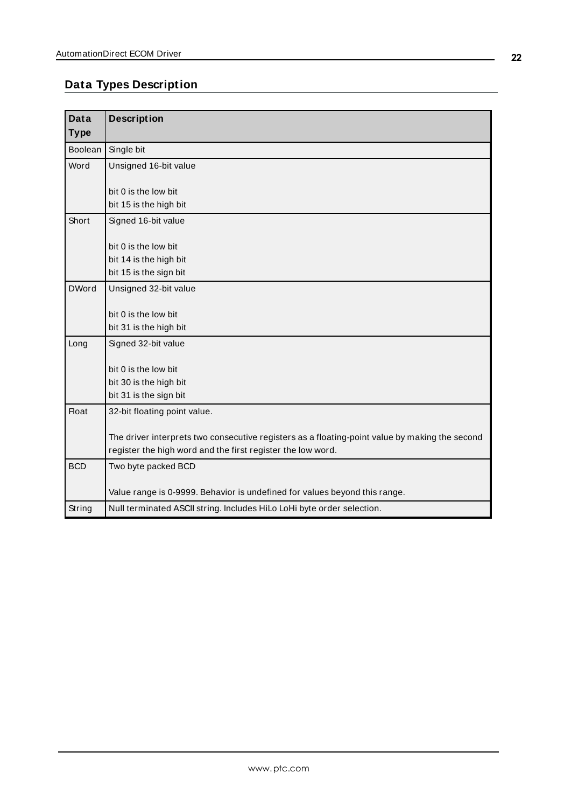# <span id="page-21-0"></span>**Data Types Description**

<span id="page-21-7"></span><span id="page-21-6"></span><span id="page-21-5"></span><span id="page-21-4"></span><span id="page-21-3"></span><span id="page-21-2"></span><span id="page-21-1"></span>

| <b>Data</b>  | <b>Description</b>                                                                             |
|--------------|------------------------------------------------------------------------------------------------|
| <b>Type</b>  |                                                                                                |
| Boolean      | Single bit                                                                                     |
| Word         | Unsigned 16-bit value                                                                          |
|              | bit 0 is the low bit                                                                           |
|              | bit 15 is the high bit                                                                         |
| Short        | Signed 16-bit value                                                                            |
|              | bit 0 is the low bit                                                                           |
|              | bit 14 is the high bit                                                                         |
|              | bit 15 is the sign bit                                                                         |
| <b>DWord</b> | Unsigned 32-bit value                                                                          |
|              | bit 0 is the low bit                                                                           |
|              | bit 31 is the high bit                                                                         |
| Long         | Signed 32-bit value                                                                            |
|              | bit 0 is the low bit                                                                           |
|              | bit 30 is the high bit                                                                         |
|              | bit 31 is the sign bit                                                                         |
| <b>Float</b> | 32-bit floating point value.                                                                   |
|              | The driver interprets two consecutive registers as a floating-point value by making the second |
|              | register the high word and the first register the low word.                                    |
| <b>BCD</b>   | Two byte packed BCD                                                                            |
|              | Value range is 0-9999. Behavior is undefined for values beyond this range.                     |
| String       | Null terminated ASCII string. Includes HiLo LoHi byte order selection.                         |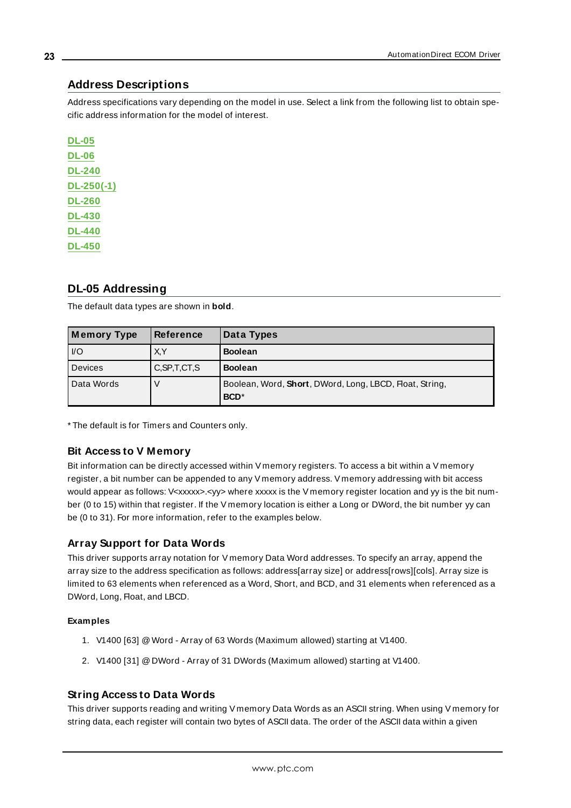## <span id="page-22-0"></span>**Address Descriptions**

Address specifications vary depending on the model in use. Select a link from the following list to obtain specific address information for the model of interest.

**[DL-05](#page-22-1) [DL-06](#page-24-0) [DL-240](#page-26-0) [DL-250\(-1\)](#page-27-0) [DL-260](#page-29-0) [DL-430](#page-31-0) [DL-440](#page-32-0) [DL-450](#page-34-0)**

## <span id="page-22-1"></span>**DL-05 Addressing**

The default data types are shown in **bold**.

| Memory Type | <b>Reference</b> | Data Types                                                                  |
|-------------|------------------|-----------------------------------------------------------------------------|
| $U$         | X,Y              | <b>Boolean</b>                                                              |
| Devices     | C, SP, T, CT, S  | <b>Boolean</b>                                                              |
| Data Words  |                  | Boolean, Word, Short, DWord, Long, LBCD, Float, String,<br>BCD <sup>*</sup> |

\* The default is for Timers and Counters only.

#### **Bit Access to V Memory**

Bit information can be directly accessed within V memory registers. To access a bit within a V memory register, a bit number can be appended to any V memory address. V memory addressing with bit access would appear as follows: V<xxxxx>.<yy> where xxxxx is the V memory register location and yy is the bit number (0 to 15) within that register. If the V memory location is either a Long or DWord, the bit number yy can be (0 to 31). For more information, refer to the examples below.

#### **Array Support for Data Words**

This driver supports array notation for V memory Data Word addresses. To specify an array, append the array size to the address specification as follows: address[array size] or address[rows][cols]. Array size is limited to 63 elements when referenced as a Word, Short, and BCD, and 31 elements when referenced as a DWord, Long, Float, and LBCD.

#### **Examples**

- 1. V1400 [63] @Word Array of 63 Words (Maximum allowed) starting at V1400.
- 2. V1400 [31] @DWord Array of 31 DWords (Maximum allowed) starting at V1400.

#### **String Access to Data Words**

This driver supports reading and writing V memory Data Words as an ASCII string. When using V memory for string data, each register will contain two bytes of ASCII data. The order of the ASCII data within a given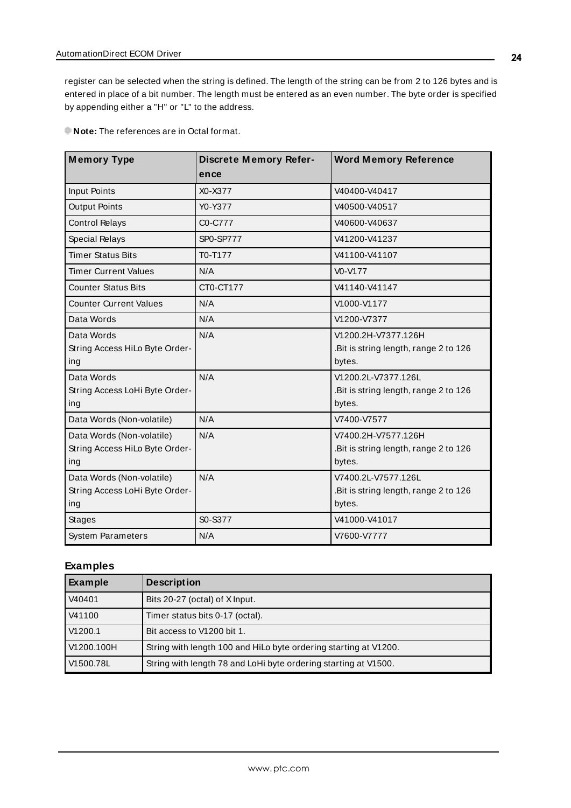register can be selected when the string is defined. The length of the string can be from 2 to 126 bytes and is entered in place of a bit number. The length must be entered as an even number. The byte order is specified by appending either a "H" or "L" to the address.

**Note:** The references are in Octal format.

| <b>Memory Type</b>             | <b>Discrete Memory Refer-</b> | <b>Word Memory Reference</b>          |
|--------------------------------|-------------------------------|---------------------------------------|
|                                | ence                          |                                       |
| <b>Input Points</b>            | X0-X377                       | V40400-V40417                         |
| <b>Output Points</b>           | Y0-Y377                       | V40500-V40517                         |
| <b>Control Relays</b>          | C0-C777                       | V40600-V40637                         |
| <b>Special Relays</b>          | <b>SP0-SP777</b>              | V41200-V41237                         |
| <b>Timer Status Bits</b>       | T0-T177                       | V41100-V41107                         |
| <b>Timer Current Values</b>    | N/A                           | V0-V177                               |
| <b>Counter Status Bits</b>     | CT0-CT177                     | V41140-V41147                         |
| <b>Counter Current Values</b>  | N/A                           | V1000-V1177                           |
| Data Words                     | N/A                           | V1200-V7377                           |
| Data Words                     | N/A                           | V1200.2H-V7377.126H                   |
| String Access HiLo Byte Order- |                               | .Bit is string length, range 2 to 126 |
| ing                            |                               | bytes.                                |
| Data Words                     | N/A                           | V1200.2L-V7377.126L                   |
| String Access LoHi Byte Order- |                               | .Bit is string length, range 2 to 126 |
| ing                            |                               | bytes.                                |
| Data Words (Non-volatile)      | N/A                           | V7400-V7577                           |
| Data Words (Non-volatile)      | N/A                           | V7400.2H-V7577.126H                   |
| String Access HiLo Byte Order- |                               | .Bit is string length, range 2 to 126 |
| ing                            |                               | bytes.                                |
| Data Words (Non-volatile)      | N/A                           | V7400.2L-V7577.126L                   |
| String Access LoHi Byte Order- |                               | Bit is string length, range 2 to 126  |
| ing                            |                               | bytes.                                |
| <b>Stages</b>                  | S0-S377                       | V41000-V41017                         |
| <b>System Parameters</b>       | N/A                           | V7600-V7777                           |

## **Examples**

| Example             | <b>Description</b>                                               |
|---------------------|------------------------------------------------------------------|
| V40401              | Bits 20-27 (octal) of X Input.                                   |
| V41100              | Timer status bits 0-17 (octal).                                  |
| V <sub>1200.1</sub> | Bit access to V1200 bit 1.                                       |
| V1200.100H          | String with length 100 and HiLo byte ordering starting at V1200. |
| V1500.78L           | String with length 78 and LoHi byte ordering starting at V1500.  |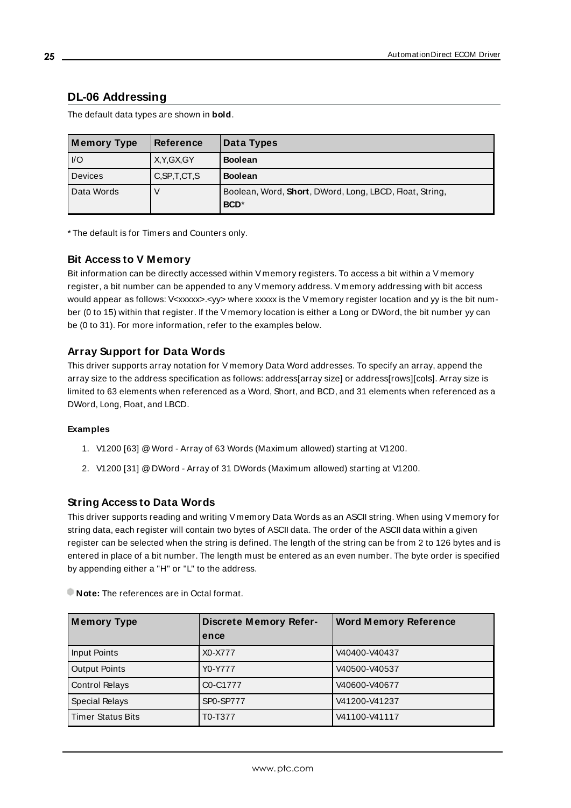## <span id="page-24-0"></span>**DL-06 Addressing**

The default data types are shown in **bold**.

| <b>Memory Type</b> | <b>Reference</b> | Data Types                                                                  |
|--------------------|------------------|-----------------------------------------------------------------------------|
| $ VO\rangle$       | X.Y.GX.GY        | <b>Boolean</b>                                                              |
| Devices            | C, SP, T, CT, S  | <b>Boolean</b>                                                              |
| Data Words         |                  | Boolean, Word, Short, DWord, Long, LBCD, Float, String,<br>BCD <sup>*</sup> |

\* The default is for Timers and Counters only.

#### **Bit Access to V Memory**

Bit information can be directly accessed within V memory registers. To access a bit within a V memory register, a bit number can be appended to any V memory address. V memory addressing with bit access would appear as follows: V<xxxxx>.<yy> where xxxxx is the V memory register location and yy is the bit number (0 to 15) within that register. If the V memory location is either a Long or DWord, the bit number yy can be (0 to 31). For more information, refer to the examples below.

#### **Array Support for Data Words**

This driver supports array notation for V memory Data Word addresses. To specify an array, append the array size to the address specification as follows: address[array size] or address[rows][cols]. Array size is limited to 63 elements when referenced as a Word, Short, and BCD, and 31 elements when referenced as a DWord, Long, Float, and LBCD.

#### **Examples**

- 1. V1200 [63] @Word Array of 63 Words (Maximum allowed) starting at V1200.
- 2. V1200 [31] @DWord Array of 31 DWords (Maximum allowed) starting at V1200.

#### **String Access to Data Words**

This driver supports reading and writing V memory Data Words as an ASCII string. When using V memory for string data, each register will contain two bytes of ASCII data. The order of the ASCII data within a given register can be selected when the string is defined. The length of the string can be from 2 to 126 bytes and is entered in place of a bit number. The length must be entered as an even number. The byte order is specified by appending either a "H" or "L" to the address.

| <b>Memory Type</b>       | <b>Discrete Memory Refer-</b> | <b>Word Memory Reference</b> |
|--------------------------|-------------------------------|------------------------------|
|                          | ence                          |                              |
| Input Points             | X0-X777                       | V40400-V40437                |
| <b>Output Points</b>     | Y0-Y777                       | V40500-V40537                |
| <b>Control Relays</b>    | C0-C1777                      | V40600-V40677                |
| <b>Special Relays</b>    | SP0-SP777                     | V41200-V41237                |
| <b>Timer Status Bits</b> | T0-T377                       | V41100-V41117                |

**Note:** The references are in Octal format.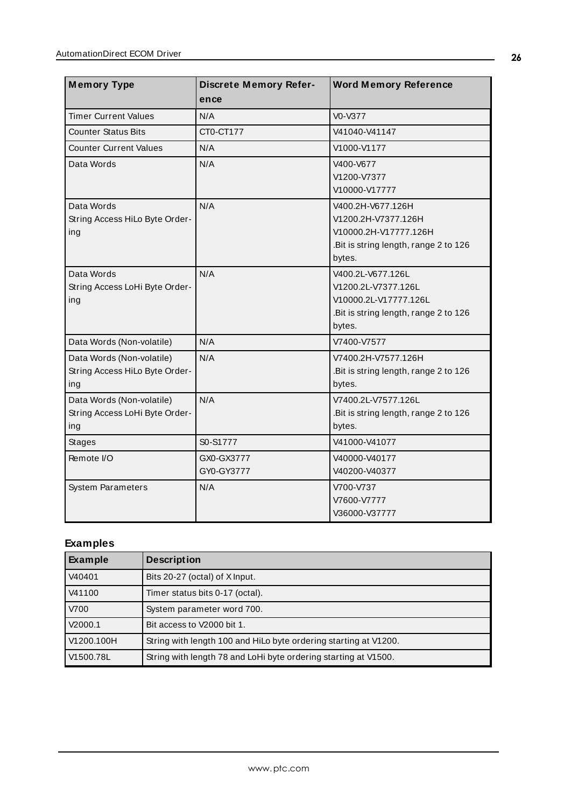| <b>Memory Type</b>                                                 | <b>Discrete Memory Refer-</b><br>ence | <b>Word Memory Reference</b>                                                                                         |
|--------------------------------------------------------------------|---------------------------------------|----------------------------------------------------------------------------------------------------------------------|
| <b>Timer Current Values</b>                                        | N/A                                   | V0-V377                                                                                                              |
| <b>Counter Status Bits</b>                                         | CT0-CT177                             | V41040-V41147                                                                                                        |
| <b>Counter Current Values</b>                                      | N/A                                   | V1000-V1177                                                                                                          |
| Data Words                                                         | N/A                                   | V400-V677<br>V1200-V7377<br>V10000-V17777                                                                            |
| Data Words<br>String Access HiLo Byte Order-<br>ing                | N/A                                   | V400.2H-V677.126H<br>V1200.2H-V7377.126H<br>V10000.2H-V17777.126H<br>.Bit is string length, range 2 to 126<br>bytes. |
| Data Words<br>String Access LoHi Byte Order-<br>ing                | N/A                                   | V400.2L-V677.126L<br>V1200.2L-V7377.126L<br>V10000.2L-V17777.126L<br>.Bit is string length, range 2 to 126<br>bytes. |
| Data Words (Non-volatile)                                          | N/A                                   | V7400-V7577                                                                                                          |
| Data Words (Non-volatile)<br>String Access HiLo Byte Order-<br>ing | N/A                                   | V7400.2H-V7577.126H<br>.Bit is string length, range 2 to 126<br>bytes.                                               |
| Data Words (Non-volatile)<br>String Access LoHi Byte Order-<br>ing | N/A                                   | V7400.2L-V7577.126L<br>.Bit is string length, range 2 to 126<br>bytes.                                               |
| <b>Stages</b>                                                      | S0-S1777                              | V41000-V41077                                                                                                        |
| Remote I/O                                                         | GX0-GX3777<br>GY0-GY3777              | V40000-V40177<br>V40200-V40377                                                                                       |
| <b>System Parameters</b>                                           | N/A                                   | V700-V737<br>V7600-V7777<br>V36000-V37777                                                                            |

# **Examples**

| Example    | <b>Description</b>                                               |
|------------|------------------------------------------------------------------|
| V40401     | Bits 20-27 (octal) of X Input.                                   |
| V41100     | Timer status bits 0-17 (octal).                                  |
| V700       | System parameter word 700.                                       |
| V2000.1    | Bit access to V2000 bit 1.                                       |
| V1200.100H | String with length 100 and HiLo byte ordering starting at V1200. |
| V1500.78L  | String with length 78 and LoHi byte ordering starting at V1500.  |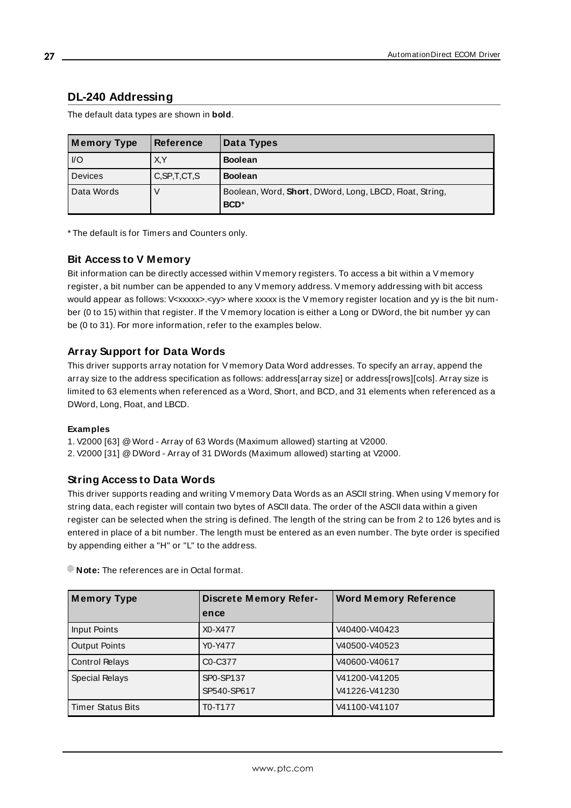## <span id="page-26-0"></span>**DL-240 Addressing**

The default data types are shown in **bold**.

| <b>Memory Type</b> | <b>Reference</b> | Data Types                                                                  |
|--------------------|------------------|-----------------------------------------------------------------------------|
| $ VO\rangle$       | X.Y              | <b>Boolean</b>                                                              |
| Devices            | C, SP, T, CT, S  | <b>Boolean</b>                                                              |
| Data Words         |                  | Boolean, Word, Short, DWord, Long, LBCD, Float, String,<br>BCD <sup>*</sup> |

\* The default is for Timers and Counters only.

#### **Bit Access to V Memory**

Bit information can be directly accessed within V memory registers. To access a bit within a V memory register, a bit number can be appended to any V memory address. V memory addressing with bit access would appear as follows: V<xxxxx>.<yy> where xxxxx is the V memory register location and yy is the bit number (0 to 15) within that register. If the V memory location is either a Long or DWord, the bit number yy can be (0 to 31). For more information, refer to the examples below.

#### **Array Support for Data Words**

This driver supports array notation for V memory Data Word addresses. To specify an array, append the array size to the address specification as follows: address[array size] or address[rows][cols]. Array size is limited to 63 elements when referenced as a Word, Short, and BCD, and 31 elements when referenced as a DWord, Long, Float, and LBCD.

#### **Examples**

1. V2000 [63] @Word - Array of 63 Words (Maximum allowed) starting at V2000.

2. V2000 [31] @DWord - Array of 31 DWords (Maximum allowed) starting at V2000.

#### **String Access to Data Words**

This driver supports reading and writing V memory Data Words as an ASCII string. When using V memory for string data, each register will contain two bytes of ASCII data. The order of the ASCII data within a given register can be selected when the string is defined. The length of the string can be from 2 to 126 bytes and is entered in place of a bit number. The length must be entered as an even number. The byte order is specified by appending either a "H" or "L" to the address.

| <b>Memory Type</b>  | <b>Discrete Memory Refer-</b>    | <b>Word Memory Reference</b> |
|---------------------|----------------------------------|------------------------------|
|                     | ence                             |                              |
| Input Points        | X0-X477                          | V40400-V40423                |
| Output Points       | Y0-Y477                          | V40500-V40523                |
| Control Relays      | C <sub>0</sub> -C <sub>377</sub> | V40600-V40617                |
| Special Relays      | SP0-SP137                        | V41200-V41205                |
|                     | SP540-SP617                      | V41226-V41230                |
| l Timer Status Bits | T0-T177                          | V41100-V41107                |

**Note:** The references are in Octal format.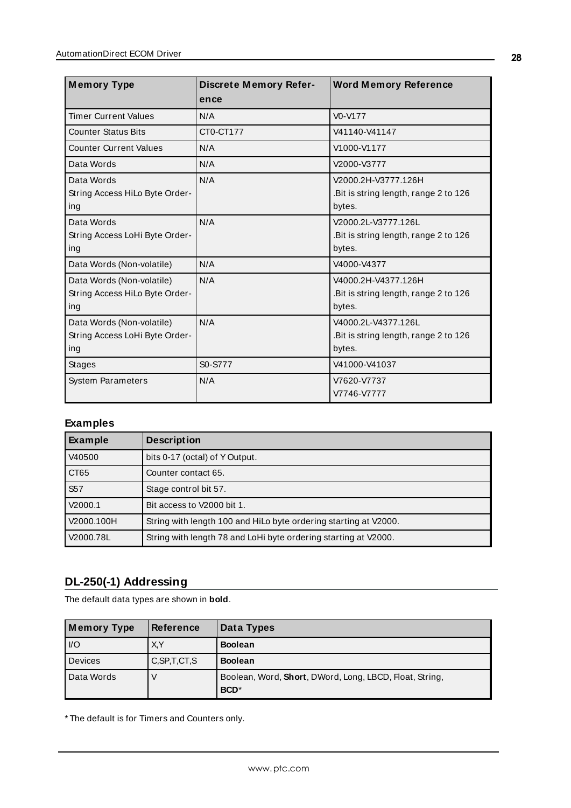| <b>Memory Type</b>                                                 | <b>Discrete Memory Refer-</b><br>ence | <b>Word Memory Reference</b>                                           |
|--------------------------------------------------------------------|---------------------------------------|------------------------------------------------------------------------|
| <b>Timer Current Values</b>                                        | N/A                                   | $V0-V177$                                                              |
| <b>Counter Status Bits</b>                                         | CT0-CT177                             | V41140-V41147                                                          |
| <b>Counter Current Values</b>                                      | N/A                                   | V1000-V1177                                                            |
| Data Words                                                         | N/A                                   | V2000-V3777                                                            |
| Data Words<br>String Access HiLo Byte Order-<br>ing                | N/A                                   | V2000.2H-V3777.126H<br>.Bit is string length, range 2 to 126<br>bytes. |
| Data Words<br>String Access LoHi Byte Order-<br>ing                | N/A                                   | V2000.2L-V3777.126L<br>Bit is string length, range 2 to 126<br>bytes.  |
| Data Words (Non-volatile)                                          | N/A                                   | V4000-V4377                                                            |
| Data Words (Non-volatile)<br>String Access HiLo Byte Order-<br>ing | N/A                                   | V4000.2H-V4377.126H<br>Bit is string length, range 2 to 126<br>bytes.  |
| Data Words (Non-volatile)<br>String Access LoHi Byte Order-<br>ing | N/A                                   | V4000.2L-V4377.126L<br>Bit is string length, range 2 to 126<br>bytes.  |
| <b>Stages</b>                                                      | S0-S777                               | V41000-V41037                                                          |
| <b>System Parameters</b>                                           | N/A                                   | V7620-V7737<br>V7746-V7777                                             |

## **Examples**

| <b>Example</b>   | <b>Description</b>                                               |
|------------------|------------------------------------------------------------------|
| V40500           | bits 0-17 (octal) of Y Output.                                   |
| CT <sub>65</sub> | Counter contact 65.                                              |
| S <sub>57</sub>  | Stage control bit 57.                                            |
| V2000.1          | Bit access to V2000 bit 1.                                       |
| V2000.100H       | String with length 100 and HiLo byte ordering starting at V2000. |
| V2000.78L        | String with length 78 and LoHi byte ordering starting at V2000.  |

# <span id="page-27-0"></span>**DL-250(-1) Addressing**

The default data types are shown in **bold**.

| <b>Memory Type</b> | <b>Reference</b> | Data Types                                                              |
|--------------------|------------------|-------------------------------------------------------------------------|
| $ $ $ $ /O         | X,Y              | <b>Boolean</b>                                                          |
| <b>Devices</b>     | C, SP, T, CT, S  | <b>Boolean</b>                                                          |
| Data Words         |                  | Boolean, Word, Short, DWord, Long, LBCD, Float, String,<br><b>BCD</b> * |

\* The default is for Timers and Counters only.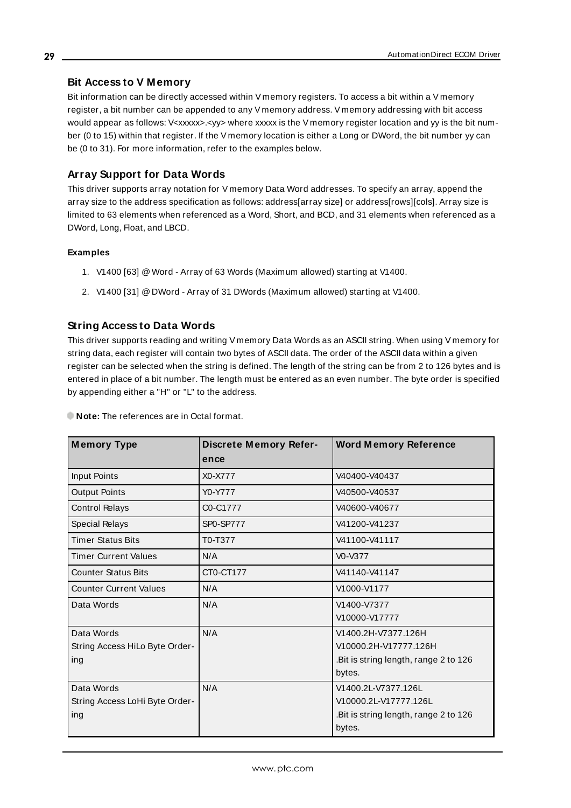#### **Bit Access to V Memory**

Bit information can be directly accessed within V memory registers. To access a bit within a V memory register, a bit number can be appended to any V memory address. V memory addressing with bit access would appear as follows: V<xxxxx>.<vy> where xxxxx is the V memory register location and yy is the bit number (0 to 15) within that register. If the V memory location is either a Long or DWord, the bit number yy can be (0 to 31). For more information, refer to the examples below.

#### **Array Support for Data Words**

This driver supports array notation for V memory Data Word addresses. To specify an array, append the array size to the address specification as follows: address[array size] or address[rows][cols]. Array size is limited to 63 elements when referenced as a Word, Short, and BCD, and 31 elements when referenced as a DWord, Long, Float, and LBCD.

#### **Examples**

- 1. V1400 [63] @Word Array of 63 Words (Maximum allowed) starting at V1400.
- 2. V1400 [31] @DWord Array of 31 DWords (Maximum allowed) starting at V1400.

#### **String Access to Data Words**

This driver supports reading and writing V memory Data Words as an ASCII string. When using V memory for string data, each register will contain two bytes of ASCII data. The order of the ASCII data within a given register can be selected when the string is defined. The length of the string can be from 2 to 126 bytes and is entered in place of a bit number. The length must be entered as an even number. The byte order is specified by appending either a "H" or "L" to the address.

| <b>Memory Type</b>             | <b>Discrete Memory Refer-</b><br>ence | <b>Word Memory Reference</b>         |
|--------------------------------|---------------------------------------|--------------------------------------|
| Input Points                   | X0-X777                               | V40400-V40437                        |
| <b>Output Points</b>           | Y0-Y777                               | V40500-V40537                        |
| <b>Control Relays</b>          | C0-C1777                              | V40600-V40677                        |
| Special Relays                 | <b>SP0-SP777</b>                      | V41200-V41237                        |
| <b>Timer Status Bits</b>       | T0-T377                               | V41100-V41117                        |
| <b>Timer Current Values</b>    | N/A                                   | V0-V377                              |
| <b>Counter Status Bits</b>     | CT0-CT177                             | V41140-V41147                        |
| <b>Counter Current Values</b>  | N/A                                   | V1000-V1177                          |
| Data Words                     | N/A                                   | V1400-V7377                          |
|                                |                                       | V10000-V17777                        |
| Data Words                     | N/A                                   | V1400.2H-V7377.126H                  |
| String Access HiLo Byte Order- |                                       | V10000.2H-V17777.126H                |
| ing                            |                                       | Bit is string length, range 2 to 126 |
|                                |                                       | bytes.                               |
| Data Words                     | N/A                                   | V1400.2L-V7377.126L                  |
| String Access LoHi Byte Order- |                                       | V10000.2L-V17777.126L                |
| ing                            |                                       | Bit is string length, range 2 to 126 |
|                                |                                       | bytes.                               |

**Note:** The references are in Octal format.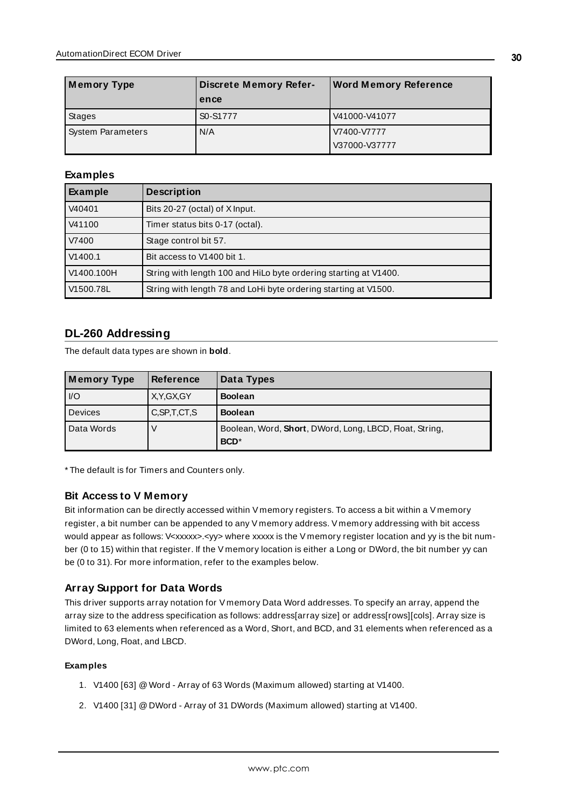| <b>Memory Type</b>       | <b>Discrete Memory Refer-</b> | <b>Word Memory Reference</b> |
|--------------------------|-------------------------------|------------------------------|
|                          | ence                          |                              |
| Stages                   | S0-S1777                      | V41000-V41077                |
| <b>System Parameters</b> | N/A                           | V7400-V7777<br>V37000-V37777 |

#### **Examples**

| <b>Example</b> | <b>Description</b>                                               |
|----------------|------------------------------------------------------------------|
| V40401         | Bits 20-27 (octal) of X Input.                                   |
| V41100         | Timer status bits 0-17 (octal).                                  |
| V7400          | Stage control bit 57.                                            |
| V1400.1        | Bit access to V1400 bit 1.                                       |
| V1400.100H     | String with length 100 and HiLo byte ordering starting at V1400. |
| V1500.78L      | String with length 78 and LoHi byte ordering starting at V1500.  |

## <span id="page-29-0"></span>**DL-260 Addressing**

The default data types are shown in **bold**.

| Memory Type    | <b>Reference</b> | Data Types                                                                  |
|----------------|------------------|-----------------------------------------------------------------------------|
| $IVO$          | X, Y, GX, GY     | <b>Boolean</b>                                                              |
| <b>Devices</b> | C, SP, T, CT, S  | <b>Boolean</b>                                                              |
| Data Words     |                  | Boolean, Word, Short, DWord, Long, LBCD, Float, String,<br>BCD <sup>*</sup> |

\* The default is for Timers and Counters only.

#### **Bit Access to V Memory**

Bit information can be directly accessed within V memory registers. To access a bit within a V memory register, a bit number can be appended to any V memory address. V memory addressing with bit access would appear as follows: V<xxxxx>.<yy> where xxxxx is the V memory register location and yy is the bit number (0 to 15) within that register. If the V memory location is either a Long or DWord, the bit number yy can be (0 to 31). For more information, refer to the examples below.

#### **Array Support for Data Words**

This driver supports array notation for V memory Data Word addresses. To specify an array, append the array size to the address specification as follows: address[array size] or address[rows][cols]. Array size is limited to 63 elements when referenced as a Word, Short, and BCD, and 31 elements when referenced as a DWord, Long, Float, and LBCD.

#### **Examples**

- 1. V1400 [63] @Word Array of 63 Words (Maximum allowed) starting at V1400.
- 2. V1400 [31] @DWord Array of 31 DWords (Maximum allowed) starting at V1400.

**30**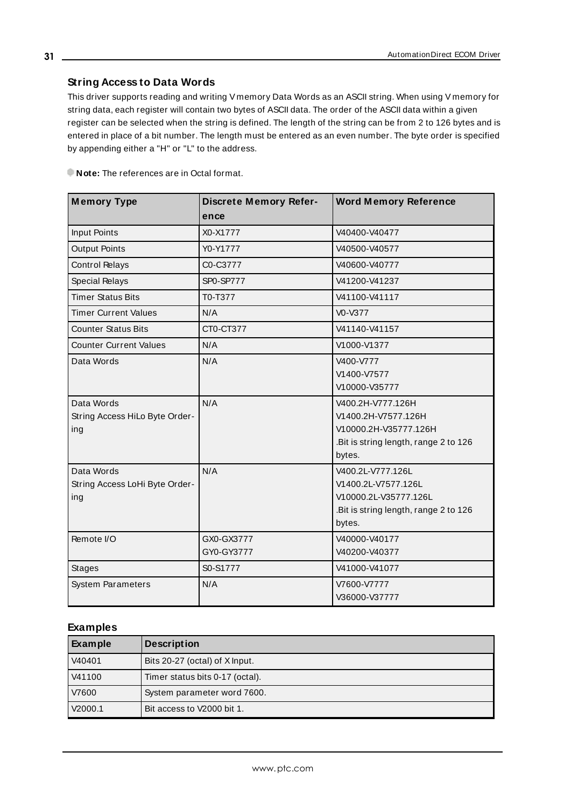## **String Access to Data Words**

This driver supports reading and writing V memory Data Words as an ASCII string. When using V memory for string data, each register will contain two bytes of ASCII data. The order of the ASCII data within a given register can be selected when the string is defined. The length of the string can be from 2 to 126 bytes and is entered in place of a bit number. The length must be entered as an even number. The byte order is specified by appending either a "H" or "L" to the address.

**Note:** The references are in Octal format.

| <b>Memory Type</b>                                  | <b>Discrete Memory Refer-</b> | <b>Word Memory Reference</b>                                                                                         |
|-----------------------------------------------------|-------------------------------|----------------------------------------------------------------------------------------------------------------------|
|                                                     | ence                          |                                                                                                                      |
| <b>Input Points</b>                                 | X0-X1777                      | V40400-V40477                                                                                                        |
| <b>Output Points</b>                                | Y0-Y1777                      | V40500-V40577                                                                                                        |
| <b>Control Relays</b>                               | C0-C3777                      | V40600-V40777                                                                                                        |
| Special Relays                                      | SP0-SP777                     | V41200-V41237                                                                                                        |
| <b>Timer Status Bits</b>                            | T0-T377                       | V41100-V41117                                                                                                        |
| <b>Timer Current Values</b>                         | N/A                           | V0-V377                                                                                                              |
| <b>Counter Status Bits</b>                          | CT0-CT377                     | V41140-V41157                                                                                                        |
| <b>Counter Current Values</b>                       | N/A                           | V1000-V1377                                                                                                          |
| Data Words                                          | N/A                           | V400-V777<br>V1400-V7577<br>V10000-V35777                                                                            |
| Data Words<br>String Access HiLo Byte Order-<br>ing | N/A                           | V400.2H-V777.126H<br>V1400.2H-V7577.126H<br>V10000.2H-V35777.126H<br>.Bit is string length, range 2 to 126<br>bytes. |
| Data Words<br>String Access LoHi Byte Order-<br>ing | N/A                           | V400.2L-V777.126L<br>V1400.2L-V7577.126L<br>V10000.2L-V35777.126L<br>.Bit is string length, range 2 to 126<br>bytes. |
| Remote I/O                                          | GX0-GX3777<br>GY0-GY3777      | V40000-V40177<br>V40200-V40377                                                                                       |
| <b>Stages</b>                                       | S0-S1777                      | V41000-V41077                                                                                                        |
| <b>System Parameters</b>                            | N/A                           | V7600-V7777<br>V36000-V37777                                                                                         |

#### **Examples**

| Example | <b>Description</b>              |
|---------|---------------------------------|
| V40401  | Bits 20-27 (octal) of X Input.  |
| V41100  | Timer status bits 0-17 (octal). |
| V7600   | System parameter word 7600.     |
| V2000.1 | Bit access to V2000 bit 1.      |

**31**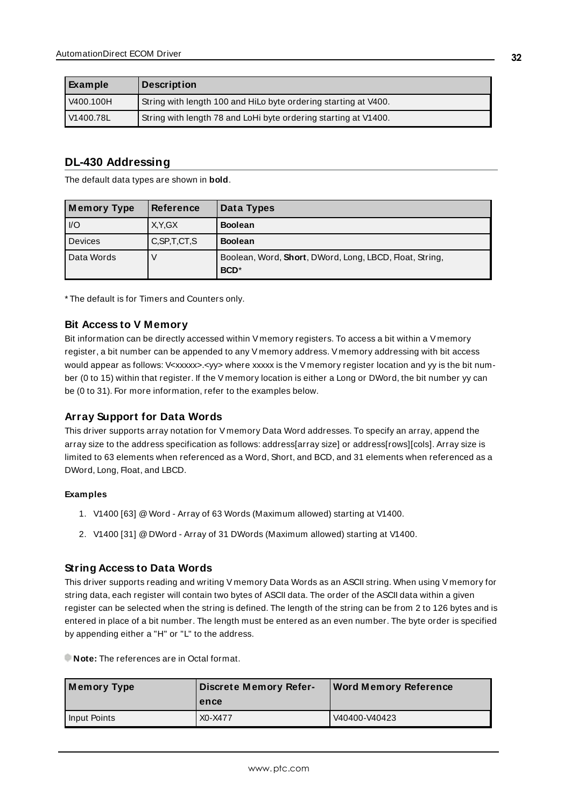| Example   | Description                                                     |
|-----------|-----------------------------------------------------------------|
| V400.100H | String with length 100 and HiLo byte ordering starting at V400. |
| V1400.78L | String with length 78 and LoHi byte ordering starting at V1400. |

## <span id="page-31-0"></span>**DL-430 Addressing**

The default data types are shown in **bold**.

| Memory Type    | <b>Reference</b> | Data Types                                                                  |
|----------------|------------------|-----------------------------------------------------------------------------|
| $\overline{U}$ | X.Y.GX           | <b>Boolean</b>                                                              |
| Devices        | C, SP, T, CT, S  | <b>Boolean</b>                                                              |
| Data Words     |                  | Boolean, Word, Short, DWord, Long, LBCD, Float, String,<br>BCD <sup>*</sup> |

\* The default is for Timers and Counters only.

#### **Bit Access to V Memory**

Bit information can be directly accessed within V memory registers. To access a bit within a V memory register, a bit number can be appended to any V memory address. V memory addressing with bit access would appear as follows: V<xxxxx>.</yy> where xxxxx is the V memory register location and yy is the bit number (0 to 15) within that register. If the V memory location is either a Long or DWord, the bit number yy can be (0 to 31). For more information, refer to the examples below.

#### **Array Support for Data Words**

This driver supports array notation for V memory Data Word addresses. To specify an array, append the array size to the address specification as follows: address[array size] or address[rows][cols]. Array size is limited to 63 elements when referenced as a Word, Short, and BCD, and 31 elements when referenced as a DWord, Long, Float, and LBCD.

#### **Examples**

- 1. V1400 [63] @Word Array of 63 Words (Maximum allowed) starting at V1400.
- 2. V1400 [31] @DWord Array of 31 DWords (Maximum allowed) starting at V1400.

#### **String Access to Data Words**

This driver supports reading and writing V memory Data Words as an ASCII string. When using V memory for string data, each register will contain two bytes of ASCII data. The order of the ASCII data within a given register can be selected when the string is defined. The length of the string can be from 2 to 126 bytes and is entered in place of a bit number. The length must be entered as an even number. The byte order is specified by appending either a "H" or "L" to the address.

**Note:** The references are in Octal format.

| Memory Type  | <b>Discrete Memory Refer-</b><br>ence | <b>Word Memory Reference</b> |
|--------------|---------------------------------------|------------------------------|
| Input Points | X <sub>0</sub> -X <sub>477</sub>      | V40400-V40423                |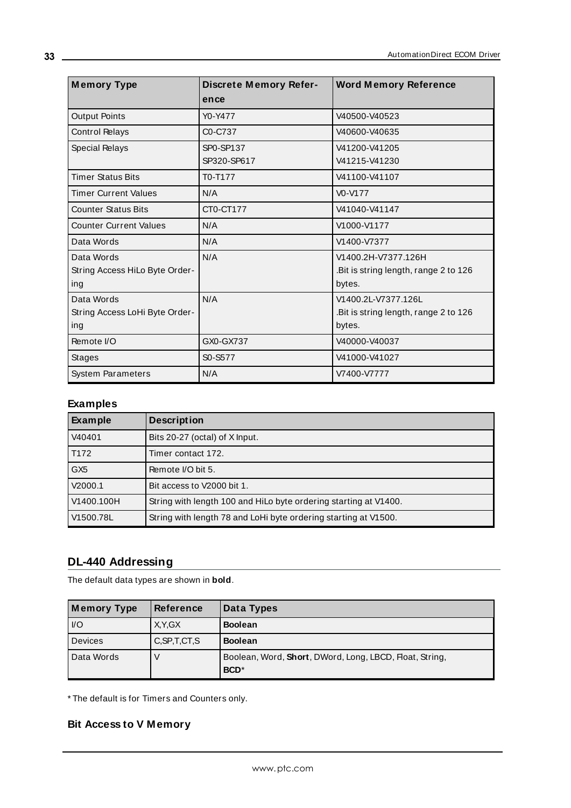| <b>Memory Type</b>                                  | <b>Discrete Memory Refer-</b><br>ence | <b>Word Memory Reference</b>                                           |
|-----------------------------------------------------|---------------------------------------|------------------------------------------------------------------------|
| <b>Output Points</b>                                | Y0-Y477                               | V40500-V40523                                                          |
| <b>Control Relays</b>                               | C0-C737                               | V40600-V40635                                                          |
| <b>Special Relays</b>                               | SP0-SP137<br>SP320-SP617              | V41200-V41205<br>V41215-V41230                                         |
| <b>Timer Status Bits</b>                            | T0-T177                               | V41100-V41107                                                          |
| <b>Timer Current Values</b>                         | N/A                                   | $V0-V177$                                                              |
| <b>Counter Status Bits</b>                          | CT0-CT177                             | V41040-V41147                                                          |
| <b>Counter Current Values</b>                       | N/A                                   | V1000-V1177                                                            |
| Data Words                                          | N/A                                   | V1400-V7377                                                            |
| Data Words<br>String Access HiLo Byte Order-<br>ing | N/A                                   | V1400.2H-V7377.126H<br>.Bit is string length, range 2 to 126<br>bytes. |
| Data Words<br>String Access LoHi Byte Order-<br>ing | N/A                                   | V1400.2L-V7377.126L<br>Bit is string length, range 2 to 126<br>bytes.  |
| Remote I/O                                          | GX0-GX737                             | V40000-V40037                                                          |
| <b>Stages</b>                                       | S0-S577                               | V41000-V41027                                                          |
| <b>System Parameters</b>                            | N/A                                   | V7400-V7777                                                            |

## **Examples**

| <b>Example</b>  | <b>Description</b>                                               |
|-----------------|------------------------------------------------------------------|
| V40401          | Bits 20-27 (octal) of X Input.                                   |
| T172            | Timer contact 172.                                               |
| GX <sub>5</sub> | Remote I/O bit 5.                                                |
| V2000.1         | Bit access to V2000 bit 1.                                       |
| V1400.100H      | String with length 100 and HiLo byte ordering starting at V1400. |
| V1500.78L       | String with length 78 and LoHi byte ordering starting at V1500.  |

# <span id="page-32-0"></span>**DL-440 Addressing**

The default data types are shown in **bold**.

| <b>Memory Type</b> | <b>Reference</b> | Data Types                                                                  |
|--------------------|------------------|-----------------------------------------------------------------------------|
| $ $ $ $ /O         | X.Y.GX           | <b>Boolean</b>                                                              |
| Devices            | C, SP, T, CT, S  | <b>Boolean</b>                                                              |
| Data Words         |                  | Boolean, Word, Short, DWord, Long, LBCD, Float, String,<br>BCD <sup>*</sup> |

\* The default is for Timers and Counters only.

# **Bit Access to V Memory**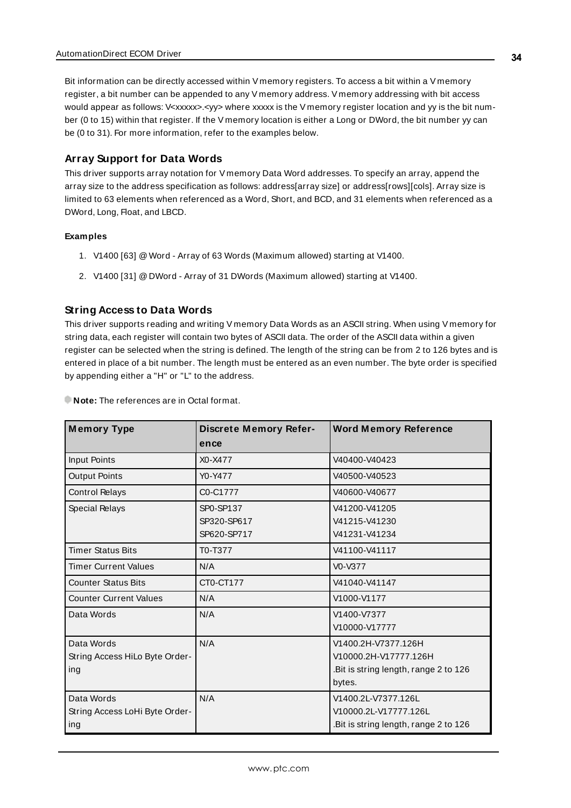Bit information can be directly accessed within V memory registers. To access a bit within a V memory register, a bit number can be appended to any V memory address. V memory addressing with bit access would appear as follows: V<xxxxx>.<yy> where xxxxx is the V memory register location and yy is the bit number (0 to 15) within that register. If the V memory location is either a Long or DWord, the bit number yy can be (0 to 31). For more information, refer to the examples below.

#### **Array Support for Data Words**

This driver supports array notation for V memory Data Word addresses. To specify an array, append the array size to the address specification as follows: address[array size] or address[rows][cols]. Array size is limited to 63 elements when referenced as a Word, Short, and BCD, and 31 elements when referenced as a DWord, Long, Float, and LBCD.

#### **Examples**

- 1. V1400 [63] @Word Array of 63 Words (Maximum allowed) starting at V1400.
- 2. V1400 [31] @DWord Array of 31 DWords (Maximum allowed) starting at V1400.

#### **String Access to Data Words**

This driver supports reading and writing V memory Data Words as an ASCII string. When using V memory for string data, each register will contain two bytes of ASCII data. The order of the ASCII data within a given register can be selected when the string is defined. The length of the string can be from 2 to 126 bytes and is entered in place of a bit number. The length must be entered as an even number. The byte order is specified by appending either a "H" or "L" to the address.

**M emory Type Discrete M emory Reference Word M emory Reference** Input Points X0-X477 V40400-V40423 Output Points 23 | Y0-Y477 | V40500-V40523 Control Relays Co-C1777 V40600-V40677 Special Relays | SP0-SP137 SP320-SP617 SP620-SP717 V41200-V41205 V41215-V41230 V41231-V41234 Timer Status Bits Timer Status Bits To-T377 V41100-V41117 Timer Current Values  $N/A$  V0-V377 Counter Status Bits CT0-CT177 V41040-V41147 Counter Current Values N/A V1000-V1177 Data Words N/A N/A V1400-V7377 V10000-V17777 Data Words String Access HiLo Byte Ordering N/A V1400.2H-V7377.126H V10000.2H-V17777.126H .Bit is string length, range 2 to 126 bytes. Data Words String Access LoHi Byte Ordering N/A V1400.2L-V7377.126L V10000.2L-V17777.126L .Bit is string length, range 2 to 126

**Note:** The references are in Octal format.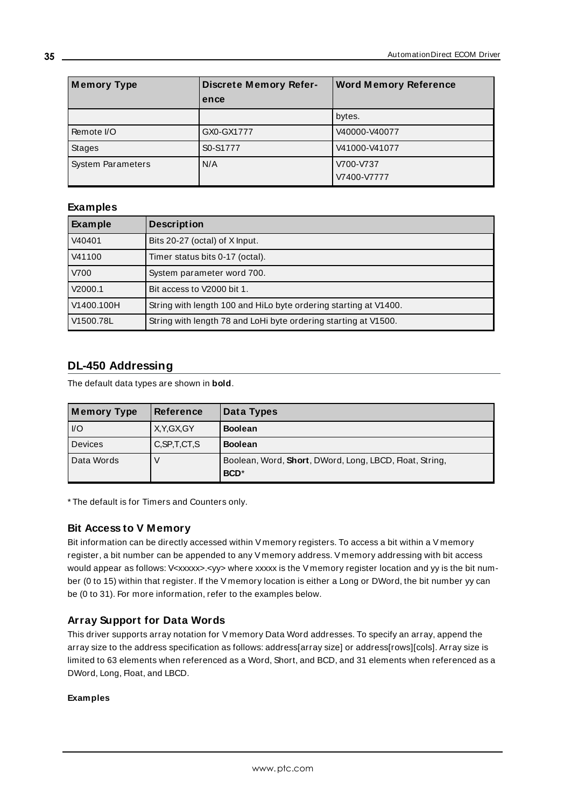| <b>Memory Type</b>       | <b>Discrete Memory Refer-</b><br>ence | <b>Word Memory Reference</b> |
|--------------------------|---------------------------------------|------------------------------|
|                          |                                       | bytes.                       |
| Remote I/O               | GX0-GX1777                            | V40000-V40077                |
| Stages                   | S0-S1777                              | V41000-V41077                |
| <b>System Parameters</b> | N/A                                   | V700-V737<br>V7400-V7777     |

#### **Examples**

| Example    | <b>Description</b>                                               |
|------------|------------------------------------------------------------------|
| V40401     | Bits 20-27 (octal) of X Input.                                   |
| V41100     | Timer status bits 0-17 (octal).                                  |
| V700       | System parameter word 700.                                       |
| V2000.1    | Bit access to V2000 bit 1.                                       |
| V1400.100H | String with length 100 and HiLo byte ordering starting at V1400. |
| V1500.78L  | String with length 78 and LoHi byte ordering starting at V1500.  |

## <span id="page-34-0"></span>**DL-450 Addressing**

The default data types are shown in **bold**.

| Memory Type   | <b>Reference</b> | Data Types                                                                  |
|---------------|------------------|-----------------------------------------------------------------------------|
| $ $ $ $ / $O$ | X, Y, GX, GY     | <b>Boolean</b>                                                              |
| Devices       | C, SP, T, CT, S  | <b>Boolean</b>                                                              |
| Data Words    |                  | Boolean, Word, Short, DWord, Long, LBCD, Float, String,<br>BCD <sup>*</sup> |

\* The default is for Timers and Counters only.

#### **Bit Access to V Memory**

Bit information can be directly accessed within V memory registers. To access a bit within a V memory register, a bit number can be appended to any V memory address. V memory addressing with bit access would appear as follows: V<xxxxx>.<yy> where xxxxx is the V memory register location and yy is the bit number (0 to 15) within that register. If the V memory location is either a Long or DWord, the bit number yy can be (0 to 31). For more information, refer to the examples below.

#### **Array Support for Data Words**

This driver supports array notation for V memory Data Word addresses. To specify an array, append the array size to the address specification as follows: address[array size] or address[rows][cols]. Array size is limited to 63 elements when referenced as a Word, Short, and BCD, and 31 elements when referenced as a DWord, Long, Float, and LBCD.

#### **Examples**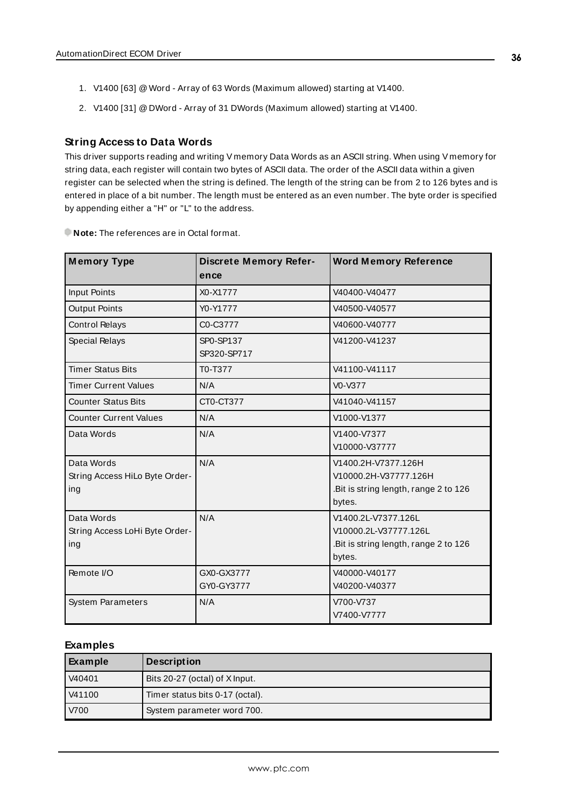- 1. V1400 [63] @Word Array of 63 Words (Maximum allowed) starting at V1400.
- 2. V1400 [31] @DWord Array of 31 DWords (Maximum allowed) starting at V1400.

#### **String Access to Data Words**

This driver supports reading and writing V memory Data Words as an ASCII string. When using V memory for string data, each register will contain two bytes of ASCII data. The order of the ASCII data within a given register can be selected when the string is defined. The length of the string can be from 2 to 126 bytes and is entered in place of a bit number. The length must be entered as an even number. The byte order is specified by appending either a "H" or "L" to the address.

| <b>Memory Type</b>                                  | <b>Discrete Memory Refer-</b> | <b>Word Memory Reference</b>                                                                    |
|-----------------------------------------------------|-------------------------------|-------------------------------------------------------------------------------------------------|
|                                                     | ence                          |                                                                                                 |
| <b>Input Points</b>                                 | X0-X1777                      | V40400-V40477                                                                                   |
| <b>Output Points</b>                                | Y0-Y1777                      | V40500-V40577                                                                                   |
| <b>Control Relays</b>                               | C0-C3777                      | V40600-V40777                                                                                   |
| <b>Special Relays</b>                               | SP0-SP137<br>SP320-SP717      | V41200-V41237                                                                                   |
| <b>Timer Status Bits</b>                            | T0-T377                       | V41100-V41117                                                                                   |
| <b>Timer Current Values</b>                         | N/A                           | $V0-V377$                                                                                       |
| <b>Counter Status Bits</b>                          | CT0-CT377                     | V41040-V41157                                                                                   |
| <b>Counter Current Values</b>                       | N/A                           | V1000-V1377                                                                                     |
| Data Words                                          | N/A                           | V1400-V7377<br>V10000-V37777                                                                    |
| Data Words<br>String Access HiLo Byte Order-<br>ing | N/A                           | V1400.2H-V7377.126H<br>V10000.2H-V37777.126H<br>.Bit is string length, range 2 to 126<br>bytes. |
| Data Words<br>String Access LoHi Byte Order-<br>ing | N/A                           | V1400.2L-V7377.126L<br>V10000.2L-V37777.126L<br>.Bit is string length, range 2 to 126<br>bytes. |
| Remote I/O                                          | GX0-GX3777<br>GY0-GY3777      | V40000-V40177<br>V40200-V40377                                                                  |
| <b>System Parameters</b>                            | N/A                           | V700-V737<br>V7400-V7777                                                                        |

#### **Examples**

| Example | <b>Description</b>              |
|---------|---------------------------------|
| V40401  | Bits 20-27 (octal) of X Input.  |
| V41100  | Timer status bits 0-17 (octal). |
| V700    | System parameter word 700.      |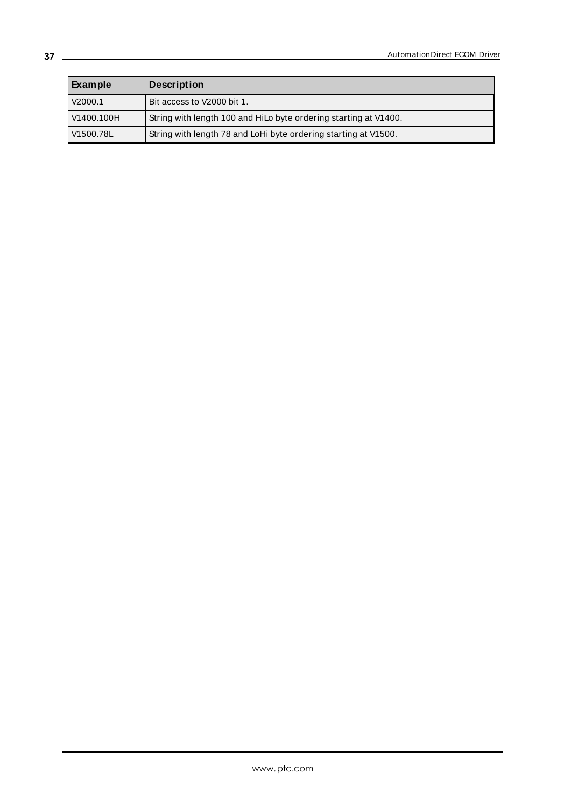| Example    | <b>Description</b>                                               |
|------------|------------------------------------------------------------------|
| V2000.1    | Bit access to V2000 bit 1.                                       |
| V1400.100H | String with length 100 and HiLo byte ordering starting at V1400. |
| V1500.78L  | String with length 78 and LoHi byte ordering starting at V1500.  |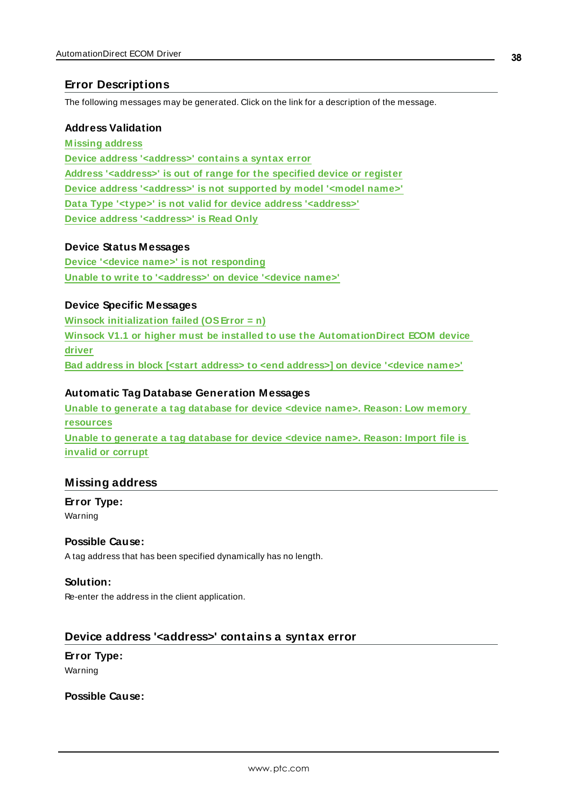## <span id="page-37-0"></span>**Error Descriptions**

The following messages may be generated. Click on the link for a description of the message.

#### **Address Validation**

**[M issing](#page-37-1) address Device address ['<address>'](#page-37-2) contains a syntax error Address ['<address>'](#page-38-0) is out of range for the specified device or register Device address ['<address>'](#page-38-1) is not supported by model '<model name>' Data Type '<type>' is not valid for device address ['<address>'](#page-38-2) Device address ['<address>'](#page-38-3) is Read Only**

#### **Device Status Messages**

**Device '<device name>' is not [responding](#page-39-0) Unable to write to ['<address>'](#page-39-1) on device '<device name>'**

#### **Device Specific Messages**

**Winsock [initialization](#page-40-0) failed (OSError = n) Winsock V1.1 or higher must be installed to use the [AutomationDirect](#page-40-1) ECOM device [driver](#page-40-1) Bad address in block [<start address> to <end [address>\]](#page-40-2) on device '<device name>'**

#### **Automatic Tag Database Generation Messages**

**Unable to [generate](#page-40-3) a tag database for device <device name>. Reason: Low memory [resources](#page-40-3) Unable to [generate](#page-41-0) a tag database for device <device name>. Reason: Import file is invalid or [corrupt](#page-41-0)**

#### <span id="page-37-1"></span>**Missing address**

**Error Type:** Warning

#### **Possible Cause:**

A tag address that has been specified dynamically has no length.

#### **Solution:**

Re-enter the address in the client application.

#### <span id="page-37-2"></span>**Device address '<address>' contains a syntax error**

**Error Type:** Warning

**Possible Cause:**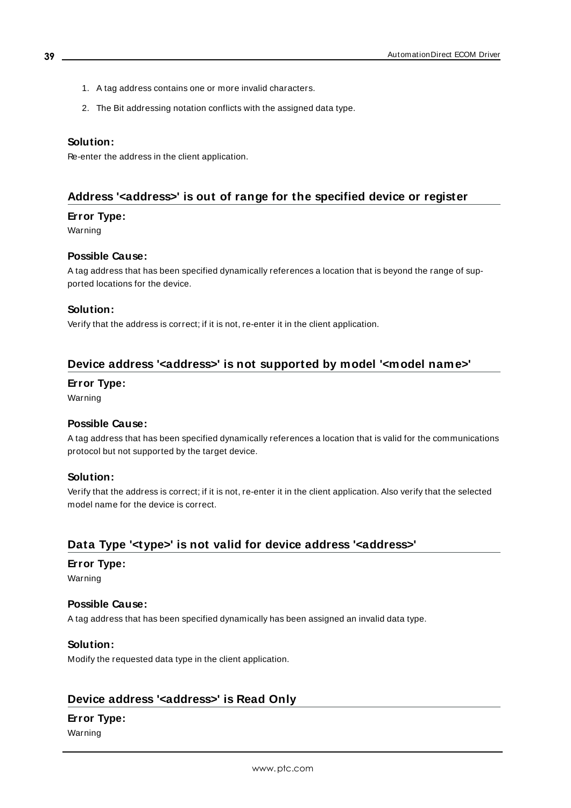- 1. A tag address contains one or more invalid characters.
- 2. The Bit addressing notation conflicts with the assigned data type.

#### **Solution:**

Re-enter the address in the client application.

## <span id="page-38-0"></span>**Address '<address>' is out of range for the specified device or register**

#### **Error Type:**

Warning

#### **Possible Cause:**

A tag address that has been specified dynamically references a location that is beyond the range of supported locations for the device.

#### **Solution:**

Verify that the address is correct; if it is not, re-enter it in the client application.

## <span id="page-38-1"></span>**Device address '<address>' is not supported by model '<model name>'**

#### **Error Type:**

Warning

#### **Possible Cause:**

A tag address that has been specified dynamically references a location that is valid for the communications protocol but not supported by the target device.

#### **Solution:**

Verify that the address is correct; if it is not, re-enter it in the client application. Also verify that the selected model name for the device is correct.

## <span id="page-38-2"></span>**Data Type '<type>' is not valid for device address '<address>'**

#### **Error Type:**

Warning

#### **Possible Cause:**

A tag address that has been specified dynamically has been assigned an invalid data type.

#### **Solution:**

Modify the requested data type in the client application.

#### <span id="page-38-3"></span>**Device address '<address>' is Read Only**

#### **Error Type:**

Warning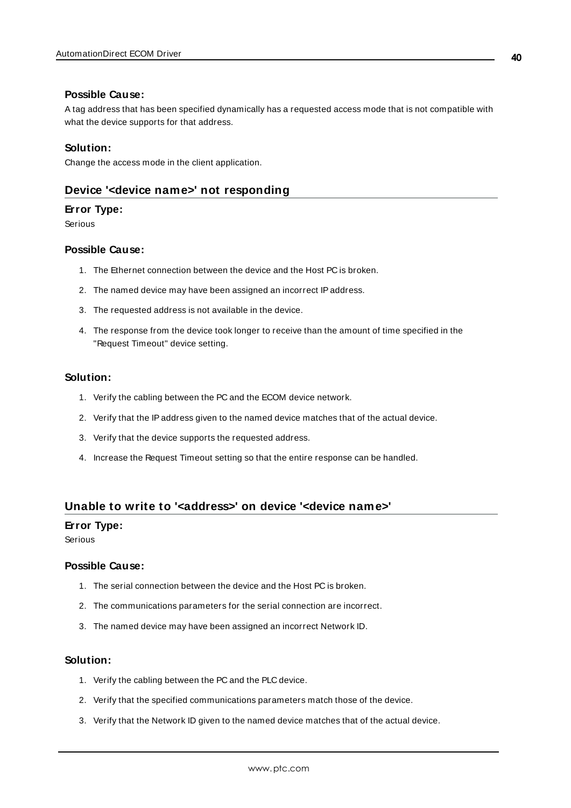#### **Possible Cause:**

A tag address that has been specified dynamically has a requested access mode that is not compatible with what the device supports for that address.

#### **Solution:**

<span id="page-39-0"></span>Change the access mode in the client application.

#### **Device '<device name>' not responding**

#### **Error Type:**

Serious

#### **Possible Cause:**

- 1. The Ethernet connection between the device and the Host PC is broken.
- 2. The named device may have been assigned an incorrect IPaddress.
- 3. The requested address is not available in the device.
- 4. The response from the device took longer to receive than the amount of time specified in the "Request Timeout" device setting.

#### **Solution:**

- 1. Verify the cabling between the PC and the ECOM device network.
- 2. Verify that the IPaddress given to the named device matches that of the actual device.
- 3. Verify that the device supports the requested address.
- 4. Increase the Request Timeout setting so that the entire response can be handled.

#### <span id="page-39-1"></span>**Unable to write to '<address>' on device '<device name>'**

#### **Error Type:**

Serious

#### **Possible Cause:**

- 1. The serial connection between the device and the Host PC is broken.
- 2. The communications parameters for the serial connection are incorrect.
- 3. The named device may have been assigned an incorrect Network ID.

#### **Solution:**

- 1. Verify the cabling between the PC and the PLC device.
- 2. Verify that the specified communications parameters match those of the device.
- 3. Verify that the Network ID given to the named device matches that of the actual device.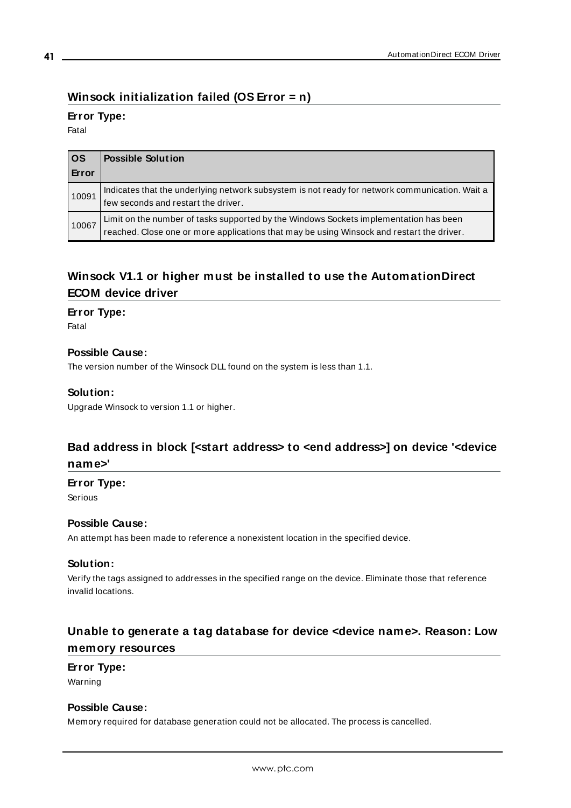# <span id="page-40-0"></span>**Winsock initialization failed (OS Error = n)**

## **Error Type:**

Fatal

| $ $ os<br>Error | <b>Possible Solution</b>                                                                                                                                                           |
|-----------------|------------------------------------------------------------------------------------------------------------------------------------------------------------------------------------|
| 10091           | Indicates that the underlying network subsystem is not ready for network communication. Wait a<br>few seconds and restart the driver.                                              |
| 10067           | Limit on the number of tasks supported by the Windows Sockets implementation has been<br>reached. Close one or more applications that may be using Winsock and restart the driver. |

# <span id="page-40-1"></span>**Winsock V1.1 or higher must be installed to use the AutomationDirect ECOM device driver**

#### **Error Type:**

Fatal

#### **Possible Cause:**

The version number of the Winsock DLL found on the system is less than 1.1.

#### **Solution:**

Upgrade Winsock to version 1.1 or higher.

## <span id="page-40-2"></span>**Bad address in block [<start address> to <end address>] on device '<device name>'**

#### **Error Type:**

Serious

#### **Possible Cause:**

An attempt has been made to reference a nonexistent location in the specified device.

#### **Solution:**

Verify the tags assigned to addresses in the specified range on the device. Eliminate those that reference invalid locations.

## <span id="page-40-3"></span>**Unable to generate a tag database for device <device name>. Reason: Low memory resources**

## **Error Type:**

Warning

#### **Possible Cause:**

Memory required for database generation could not be allocated. The process is cancelled.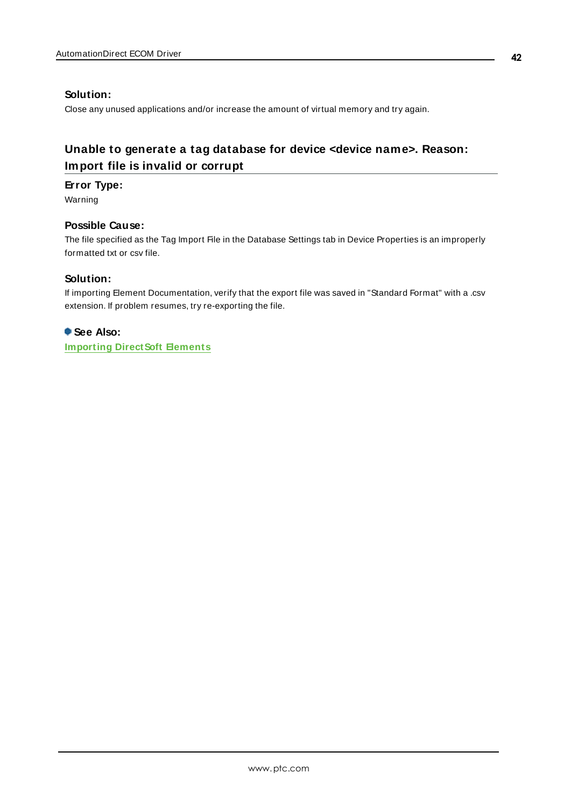## **Solution:**

Close any unused applications and/or increase the amount of virtual memory and try again.

# <span id="page-41-0"></span>**Unable to generate a tag database for device <device name>. Reason: Import file is invalid or corrupt**

#### **Error Type:**

Warning

### **Possible Cause:**

The file specified as the Tag Import File in the Database Settings tab in Device Properties is an improperly formatted txt or csv file.

#### **Solution:**

If importing Element Documentation, verify that the export file was saved in "Standard Format" with a .csv extension. If problem resumes, try re-exporting the file.

**See Also: [Importing](#page-15-3) Direct Soft Elements**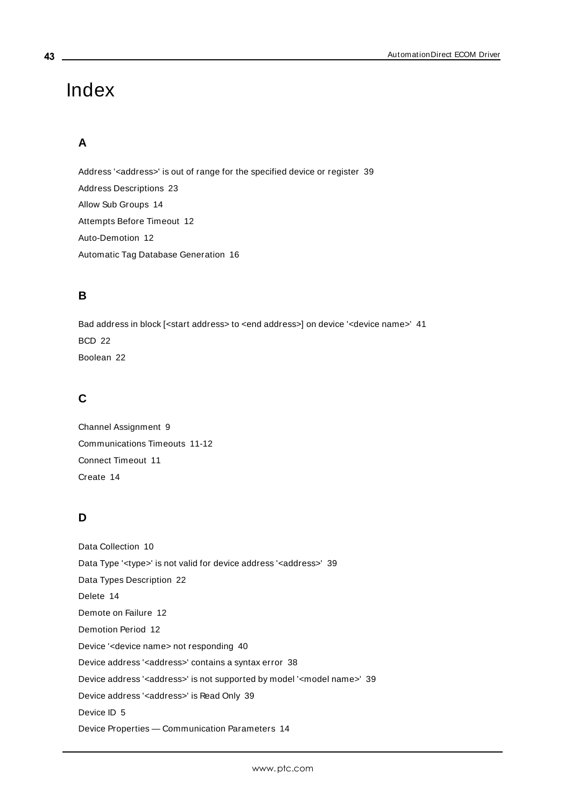# <span id="page-42-0"></span>Index

# **A**

Address '<address>' is out of range for the specified device or register [39](#page-38-0) Address Descriptions [23](#page-22-0) Allow Sub Groups [14](#page-13-1) Attempts Before Timeout [12](#page-11-1) Auto-Demotion [12](#page-11-0) Automatic Tag Database Generation [16](#page-15-0)

# **B**

Bad address in block [<start address> to <end address>] on device '<device name>' [41](#page-40-2) BCD [22](#page-21-1) Boolean [22](#page-21-2)

# **C**

Channel Assignment [9](#page-8-1) Communications Timeouts [11-12](#page-10-1) Connect Timeout [11](#page-10-2) Create [14](#page-13-2)

# **D**

Data Collection [10](#page-9-2) Data Type '<type>' is not valid for device address '<address>' [39](#page-38-2) Data Types Description [22](#page-21-0) Delete [14](#page-13-3) Demote on Failure [12](#page-11-2) Demotion Period [12](#page-11-3) Device '<device name> not responding [40](#page-39-0) Device address '< address>' contains a syntax error [38](#page-37-2) Device address '<address>' is not supported by model '<model name>' [39](#page-38-1) Device address '<address>' is Read Only [39](#page-38-3) Device ID [5](#page-4-1) Device Properties — Communication Parameters [14](#page-13-0)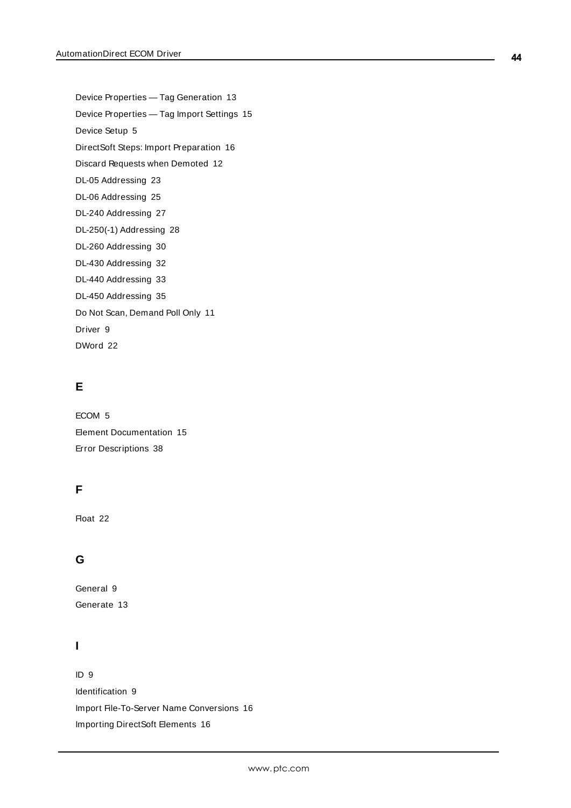Device Properties — Tag Generation [13](#page-12-0) Device Properties — Tag Import Settings [15](#page-14-0) Device Setup [5](#page-4-0) DirectSoft Steps: Import Preparation [16](#page-15-4) Discard Requests when Demoted [12](#page-11-4) DL-05 Addressing [23](#page-22-1) DL-06 Addressing [25](#page-24-0) DL-240 Addressing [27](#page-26-0) DL-250(-1) Addressing [28](#page-27-0) DL-260 Addressing [30](#page-29-0) DL-430 Addressing [32](#page-31-0) DL-440 Addressing [33](#page-32-0) DL-450 Addressing [35](#page-34-0) Do Not Scan, Demand Poll Only [11](#page-10-3) Driver [9](#page-8-2) DWord [22](#page-21-3)

# **E**

ECOM [5](#page-4-2) Element Documentation [15](#page-14-2) Error Descriptions [38](#page-37-0)

# **F**

Float [22](#page-21-4)

# **G**

General [9](#page-8-0) Generate [13](#page-12-1)

# **I**

ID [9](#page-8-3) Identification [9](#page-8-0) Import File-To-Server Name Conversions [16](#page-15-2) Importing DirectSoft Elements [16](#page-15-3)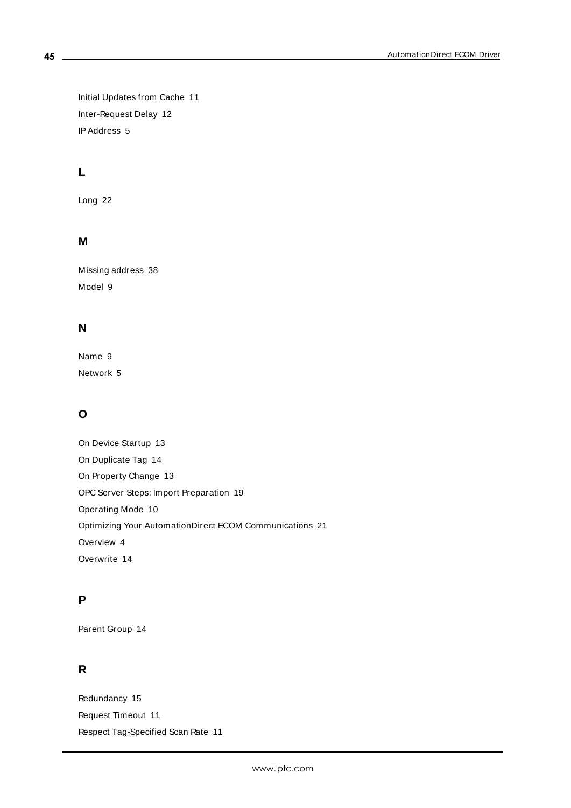Initial Updates from Cache [11](#page-10-4) Inter-Request Delay [12](#page-11-5) IPAddress [5](#page-4-3)

# **L**

Long [22](#page-21-5)

## **M**

Missing address [38](#page-37-1) Model [9](#page-8-4)

## **N**

Name [9](#page-8-5) Network [5](#page-4-4)

# **O**

On Device Startup [13](#page-12-2) On Duplicate Tag [14](#page-13-4) On Property Change [13](#page-12-3) OPC Server Steps: Import Preparation [19](#page-18-0) Operating Mode [10](#page-9-0) Optimizing Your AutomationDirect ECOM Communications [21](#page-20-0) Overview [4](#page-3-1) Overwrite [14](#page-13-5)

## **P**

Parent Group [14](#page-13-6)

## **R**

Redundancy [15](#page-14-1) Request Timeout [11](#page-10-5) Respect Tag-Specified Scan Rate [11](#page-10-6)